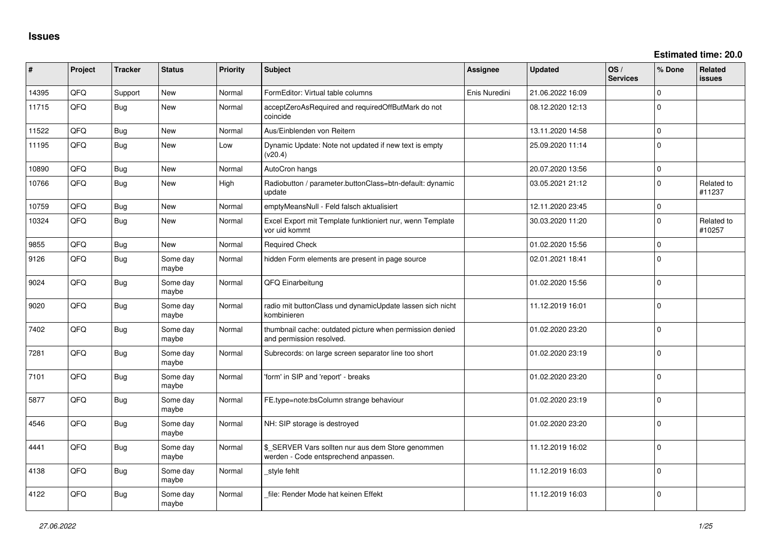| #     | Project | <b>Tracker</b> | <b>Status</b>     | Priority | <b>Subject</b>                                                                            | Assignee      | <b>Updated</b>   | OS/<br><b>Services</b> | % Done      | Related<br><b>issues</b> |
|-------|---------|----------------|-------------------|----------|-------------------------------------------------------------------------------------------|---------------|------------------|------------------------|-------------|--------------------------|
| 14395 | QFQ     | Support        | <b>New</b>        | Normal   | FormEditor: Virtual table columns                                                         | Enis Nuredini | 21.06.2022 16:09 |                        | $\Omega$    |                          |
| 11715 | QFQ     | <b>Bug</b>     | <b>New</b>        | Normal   | acceptZeroAsRequired and requiredOffButMark do not<br>coincide                            |               | 08.12.2020 12:13 |                        | $\mathbf 0$ |                          |
| 11522 | QFQ     | Bug            | <b>New</b>        | Normal   | Aus/Einblenden von Reitern                                                                |               | 13.11.2020 14:58 |                        | $\mathbf 0$ |                          |
| 11195 | QFQ     | <b>Bug</b>     | New               | Low      | Dynamic Update: Note not updated if new text is empty<br>(v20.4)                          |               | 25.09.2020 11:14 |                        | $\Omega$    |                          |
| 10890 | QFQ     | Bug            | New               | Normal   | AutoCron hangs                                                                            |               | 20.07.2020 13:56 |                        | $\mathbf 0$ |                          |
| 10766 | QFQ     | <b>Bug</b>     | <b>New</b>        | High     | Radiobutton / parameter.buttonClass=btn-default: dynamic<br>update                        |               | 03.05.2021 21:12 |                        | $\Omega$    | Related to<br>#11237     |
| 10759 | QFQ     | <b>Bug</b>     | New               | Normal   | emptyMeansNull - Feld falsch aktualisiert                                                 |               | 12.11.2020 23:45 |                        | $\mathbf 0$ |                          |
| 10324 | QFQ     | <b>Bug</b>     | <b>New</b>        | Normal   | Excel Export mit Template funktioniert nur, wenn Template<br>vor uid kommt                |               | 30.03.2020 11:20 |                        | $\Omega$    | Related to<br>#10257     |
| 9855  | QFQ     | <b>Bug</b>     | New               | Normal   | <b>Required Check</b>                                                                     |               | 01.02.2020 15:56 |                        | $\mathbf 0$ |                          |
| 9126  | QFQ     | <b>Bug</b>     | Some day<br>maybe | Normal   | hidden Form elements are present in page source                                           |               | 02.01.2021 18:41 |                        | $\Omega$    |                          |
| 9024  | QFQ     | <b>Bug</b>     | Some day<br>maybe | Normal   | QFQ Einarbeitung                                                                          |               | 01.02.2020 15:56 |                        | $\Omega$    |                          |
| 9020  | QFQ     | <b>Bug</b>     | Some day<br>maybe | Normal   | radio mit buttonClass und dynamicUpdate lassen sich nicht<br>kombinieren                  |               | 11.12.2019 16:01 |                        | $\Omega$    |                          |
| 7402  | QFQ     | <b>Bug</b>     | Some day<br>maybe | Normal   | thumbnail cache: outdated picture when permission denied<br>and permission resolved.      |               | 01.02.2020 23:20 |                        | $\Omega$    |                          |
| 7281  | QFQ     | <b>Bug</b>     | Some day<br>maybe | Normal   | Subrecords: on large screen separator line too short                                      |               | 01.02.2020 23:19 |                        | $\mathbf 0$ |                          |
| 7101  | QFQ     | <b>Bug</b>     | Some day<br>maybe | Normal   | 'form' in SIP and 'report' - breaks                                                       |               | 01.02.2020 23:20 |                        | $\Omega$    |                          |
| 5877  | QFQ     | <b>Bug</b>     | Some day<br>maybe | Normal   | FE.type=note:bsColumn strange behaviour                                                   |               | 01.02.2020 23:19 |                        | $\mathbf 0$ |                          |
| 4546  | QFQ     | <b>Bug</b>     | Some day<br>maybe | Normal   | NH: SIP storage is destroyed                                                              |               | 01.02.2020 23:20 |                        | $\Omega$    |                          |
| 4441  | QFQ     | <b>Bug</b>     | Some day<br>maybe | Normal   | \$ SERVER Vars sollten nur aus dem Store genommen<br>werden - Code entsprechend anpassen. |               | 11.12.2019 16:02 |                        | $\mathbf 0$ |                          |
| 4138  | QFQ     | Bug            | Some day<br>maybe | Normal   | style fehlt                                                                               |               | 11.12.2019 16:03 |                        | $\Omega$    |                          |
| 4122  | QFQ     | <b>Bug</b>     | Some day<br>maybe | Normal   | file: Render Mode hat keinen Effekt                                                       |               | 11.12.2019 16:03 |                        | $\Omega$    |                          |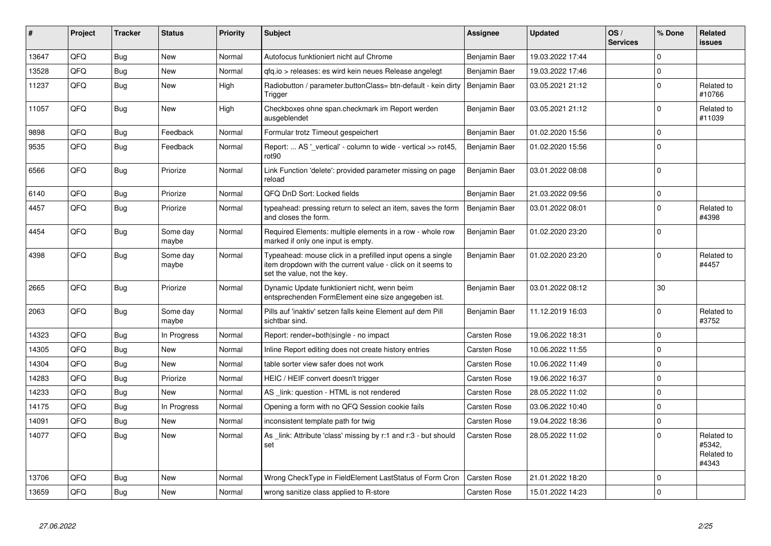| #     | <b>Project</b> | <b>Tracker</b> | <b>Status</b>     | <b>Priority</b> | <b>Subject</b>                                                                                                                                           | Assignee            | <b>Updated</b>   | OS/<br><b>Services</b> | % Done       | Related<br>issues                           |
|-------|----------------|----------------|-------------------|-----------------|----------------------------------------------------------------------------------------------------------------------------------------------------------|---------------------|------------------|------------------------|--------------|---------------------------------------------|
| 13647 | QFQ            | Bug            | <b>New</b>        | Normal          | Autofocus funktioniert nicht auf Chrome                                                                                                                  | Benjamin Baer       | 19.03.2022 17:44 |                        | $\Omega$     |                                             |
| 13528 | QFQ            | <b>Bug</b>     | New               | Normal          | qfq.io > releases: es wird kein neues Release angelegt                                                                                                   | Benjamin Baer       | 19.03.2022 17:46 |                        | $\Omega$     |                                             |
| 11237 | QFQ            | <b>Bug</b>     | New               | High            | Radiobutton / parameter.buttonClass= btn-default - kein dirty<br>Trigger                                                                                 | Benjamin Baer       | 03.05.2021 21:12 |                        | $\Omega$     | Related to<br>#10766                        |
| 11057 | QFQ            | Bug            | New               | High            | Checkboxes ohne span.checkmark im Report werden<br>ausgeblendet                                                                                          | Benjamin Baer       | 03.05.2021 21:12 |                        | <sup>o</sup> | Related to<br>#11039                        |
| 9898  | QFQ            | <b>Bug</b>     | Feedback          | Normal          | Formular trotz Timeout gespeichert                                                                                                                       | Benjamin Baer       | 01.02.2020 15:56 |                        | $\Omega$     |                                             |
| 9535  | QFQ            | <b>Bug</b>     | Feedback          | Normal          | Report:  AS '_vertical' - column to wide - vertical >> rot45,<br>rot90                                                                                   | Benjamin Baer       | 01.02.2020 15:56 |                        | $\Omega$     |                                             |
| 6566  | QFQ            | <b>Bug</b>     | Priorize          | Normal          | Link Function 'delete': provided parameter missing on page<br>reload                                                                                     | Benjamin Baer       | 03.01.2022 08:08 |                        | $\Omega$     |                                             |
| 6140  | QFQ            | <b>Bug</b>     | Priorize          | Normal          | QFQ DnD Sort: Locked fields                                                                                                                              | Benjamin Baer       | 21.03.2022 09:56 |                        | 0            |                                             |
| 4457  | QFQ            | <b>Bug</b>     | Priorize          | Normal          | typeahead: pressing return to select an item, saves the form<br>and closes the form.                                                                     | Benjamin Baer       | 03.01.2022 08:01 |                        | $\Omega$     | Related to<br>#4398                         |
| 4454  | QFQ            | <b>Bug</b>     | Some day<br>maybe | Normal          | Required Elements: multiple elements in a row - whole row<br>marked if only one input is empty.                                                          | Benjamin Baer       | 01.02.2020 23:20 |                        | $\Omega$     |                                             |
| 4398  | QFQ            | <b>Bug</b>     | Some day<br>maybe | Normal          | Typeahead: mouse click in a prefilled input opens a single<br>item dropdown with the current value - click on it seems to<br>set the value, not the key. | Benjamin Baer       | 01.02.2020 23:20 |                        | $\Omega$     | Related to<br>#4457                         |
| 2665  | QFQ            | Bug            | Priorize          | Normal          | Dynamic Update funktioniert nicht, wenn beim<br>entsprechenden FormElement eine size angegeben ist.                                                      | Benjamin Baer       | 03.01.2022 08:12 |                        | 30           |                                             |
| 2063  | QFQ            | Bug            | Some day<br>maybe | Normal          | Pills auf 'inaktiv' setzen falls keine Element auf dem Pill<br>sichtbar sind.                                                                            | Benjamin Baer       | 11.12.2019 16:03 |                        | <sup>o</sup> | Related to<br>#3752                         |
| 14323 | QFQ            | <b>Bug</b>     | In Progress       | Normal          | Report: render=both single - no impact                                                                                                                   | Carsten Rose        | 19.06.2022 18:31 |                        | $\Omega$     |                                             |
| 14305 | QFQ            | <b>Bug</b>     | New               | Normal          | Inline Report editing does not create history entries                                                                                                    | Carsten Rose        | 10.06.2022 11:55 |                        | $\Omega$     |                                             |
| 14304 | QFQ            | <b>Bug</b>     | <b>New</b>        | Normal          | table sorter view safer does not work                                                                                                                    | Carsten Rose        | 10.06.2022 11:49 |                        | $\Omega$     |                                             |
| 14283 | QFQ            | Bug            | Priorize          | Normal          | HEIC / HEIF convert doesn't trigger                                                                                                                      | Carsten Rose        | 19.06.2022 16:37 |                        | $\Omega$     |                                             |
| 14233 | QFQ            | <b>Bug</b>     | <b>New</b>        | Normal          | AS _link: question - HTML is not rendered                                                                                                                | Carsten Rose        | 28.05.2022 11:02 |                        | $\Omega$     |                                             |
| 14175 | QFQ            | Bug            | In Progress       | Normal          | Opening a form with no QFQ Session cookie fails                                                                                                          | Carsten Rose        | 03.06.2022 10:40 |                        | $\Omega$     |                                             |
| 14091 | QFQ            | <b>Bug</b>     | New               | Normal          | inconsistent template path for twig                                                                                                                      | Carsten Rose        | 19.04.2022 18:36 |                        | $\Omega$     |                                             |
| 14077 | QFQ            | Bug            | New               | Normal          | As link: Attribute 'class' missing by r:1 and r:3 - but should<br>set                                                                                    | Carsten Rose        | 28.05.2022 11:02 |                        | $\Omega$     | Related to<br>#5342,<br>Related to<br>#4343 |
| 13706 | QFQ            | <b>Bug</b>     | <b>New</b>        | Normal          | Wrong CheckType in FieldElement LastStatus of Form Cron                                                                                                  | <b>Carsten Rose</b> | 21.01.2022 18:20 |                        | $\Omega$     |                                             |
| 13659 | QFQ            | <b>Bug</b>     | New               | Normal          | wrong sanitize class applied to R-store                                                                                                                  | Carsten Rose        | 15.01.2022 14:23 |                        | $\Omega$     |                                             |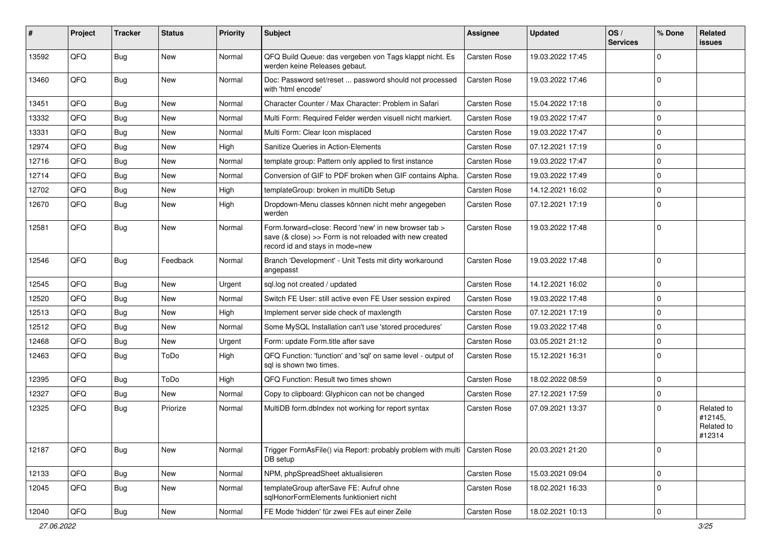| #     | Project | <b>Tracker</b> | <b>Status</b> | <b>Priority</b> | Subject                                                                                                                                             | <b>Assignee</b>     | <b>Updated</b>   | OS/<br><b>Services</b> | % Done         | Related<br>issues                             |
|-------|---------|----------------|---------------|-----------------|-----------------------------------------------------------------------------------------------------------------------------------------------------|---------------------|------------------|------------------------|----------------|-----------------------------------------------|
| 13592 | QFQ     | <b>Bug</b>     | New           | Normal          | QFQ Build Queue: das vergeben von Tags klappt nicht. Es<br>werden keine Releases gebaut.                                                            | <b>Carsten Rose</b> | 19.03.2022 17:45 |                        | $\mathbf 0$    |                                               |
| 13460 | QFQ     | <b>Bug</b>     | New           | Normal          | Doc: Password set/reset  password should not processed<br>with 'html encode'                                                                        | <b>Carsten Rose</b> | 19.03.2022 17:46 |                        | $\mathbf 0$    |                                               |
| 13451 | QFQ     | <b>Bug</b>     | New           | Normal          | Character Counter / Max Character: Problem in Safari                                                                                                | <b>Carsten Rose</b> | 15.04.2022 17:18 |                        | 0              |                                               |
| 13332 | QFQ     | <b>Bug</b>     | New           | Normal          | Multi Form: Required Felder werden visuell nicht markiert.                                                                                          | <b>Carsten Rose</b> | 19.03.2022 17:47 |                        | $\mathbf 0$    |                                               |
| 13331 | QFQ     | Bug            | New           | Normal          | Multi Form: Clear Icon misplaced                                                                                                                    | <b>Carsten Rose</b> | 19.03.2022 17:47 |                        | 0              |                                               |
| 12974 | QFQ     | Bug            | New           | High            | Sanitize Queries in Action-Elements                                                                                                                 | <b>Carsten Rose</b> | 07.12.2021 17:19 |                        | 0              |                                               |
| 12716 | QFQ     | Bug            | New           | Normal          | template group: Pattern only applied to first instance                                                                                              | <b>Carsten Rose</b> | 19.03.2022 17:47 |                        | 0              |                                               |
| 12714 | QFQ     | Bug            | New           | Normal          | Conversion of GIF to PDF broken when GIF contains Alpha.                                                                                            | <b>Carsten Rose</b> | 19.03.2022 17:49 |                        | $\mathbf 0$    |                                               |
| 12702 | QFQ     | Bug            | New           | High            | templateGroup: broken in multiDb Setup                                                                                                              | Carsten Rose        | 14.12.2021 16:02 |                        | $\mathbf 0$    |                                               |
| 12670 | QFQ     | <b>Bug</b>     | New           | High            | Dropdown-Menu classes können nicht mehr angegeben<br>werden                                                                                         | <b>Carsten Rose</b> | 07.12.2021 17:19 |                        | $\mathbf 0$    |                                               |
| 12581 | QFQ     | <b>Bug</b>     | New           | Normal          | Form.forward=close: Record 'new' in new browser tab ><br>save (& close) >> Form is not reloaded with new created<br>record id and stays in mode=new | <b>Carsten Rose</b> | 19.03.2022 17:48 |                        | $\Omega$       |                                               |
| 12546 | QFQ     | <b>Bug</b>     | Feedback      | Normal          | Branch 'Development' - Unit Tests mit dirty workaround<br>angepasst                                                                                 | <b>Carsten Rose</b> | 19.03.2022 17:48 |                        | $\Omega$       |                                               |
| 12545 | QFQ     | Bug            | New           | Urgent          | sql.log not created / updated                                                                                                                       | <b>Carsten Rose</b> | 14.12.2021 16:02 |                        | 0              |                                               |
| 12520 | QFQ     | Bug            | New           | Normal          | Switch FE User: still active even FE User session expired                                                                                           | <b>Carsten Rose</b> | 19.03.2022 17:48 |                        | 0              |                                               |
| 12513 | QFQ     | Bug            | New           | High            | Implement server side check of maxlength                                                                                                            | <b>Carsten Rose</b> | 07.12.2021 17:19 |                        | $\mathbf 0$    |                                               |
| 12512 | QFQ     | <b>Bug</b>     | New           | Normal          | Some MySQL Installation can't use 'stored procedures'                                                                                               | <b>Carsten Rose</b> | 19.03.2022 17:48 |                        | $\mathbf 0$    |                                               |
| 12468 | QFQ     | Bug            | New           | Urgent          | Form: update Form.title after save                                                                                                                  | <b>Carsten Rose</b> | 03.05.2021 21:12 |                        | 0              |                                               |
| 12463 | QFQ     | Bug            | ToDo          | High            | QFQ Function: 'function' and 'sql' on same level - output of<br>sql is shown two times.                                                             | Carsten Rose        | 15.12.2021 16:31 |                        | 0              |                                               |
| 12395 | QFQ     | Bug            | ToDo          | High            | QFQ Function: Result two times shown                                                                                                                | <b>Carsten Rose</b> | 18.02.2022 08:59 |                        | $\mathbf 0$    |                                               |
| 12327 | QFQ     | Bug            | New           | Normal          | Copy to clipboard: Glyphicon can not be changed                                                                                                     | <b>Carsten Rose</b> | 27.12.2021 17:59 |                        | 0              |                                               |
| 12325 | QFQ     | Bug            | Priorize      | Normal          | MultiDB form.dblndex not working for report syntax                                                                                                  | <b>Carsten Rose</b> | 07.09.2021 13:37 |                        | 0              | Related to<br>#12145,<br>Related to<br>#12314 |
| 12187 | QFQ     | Bug            | New           | Normal          | Trigger FormAsFile() via Report: probably problem with multi<br>DB setup                                                                            | <b>Carsten Rose</b> | 20.03.2021 21:20 |                        | $\mathbf 0$    |                                               |
| 12133 | QFQ     | Bug            | New           | Normal          | NPM, phpSpreadSheet aktualisieren                                                                                                                   | Carsten Rose        | 15.03.2021 09:04 |                        | 0              |                                               |
| 12045 | QFQ     | <b>Bug</b>     | New           | Normal          | templateGroup afterSave FE: Aufruf ohne<br>sqlHonorFormElements funktioniert nicht                                                                  | Carsten Rose        | 18.02.2021 16:33 |                        | 0              |                                               |
| 12040 | QFQ     | <b>Bug</b>     | New           | Normal          | FE Mode 'hidden' für zwei FEs auf einer Zeile                                                                                                       | Carsten Rose        | 18.02.2021 10:13 |                        | $\overline{0}$ |                                               |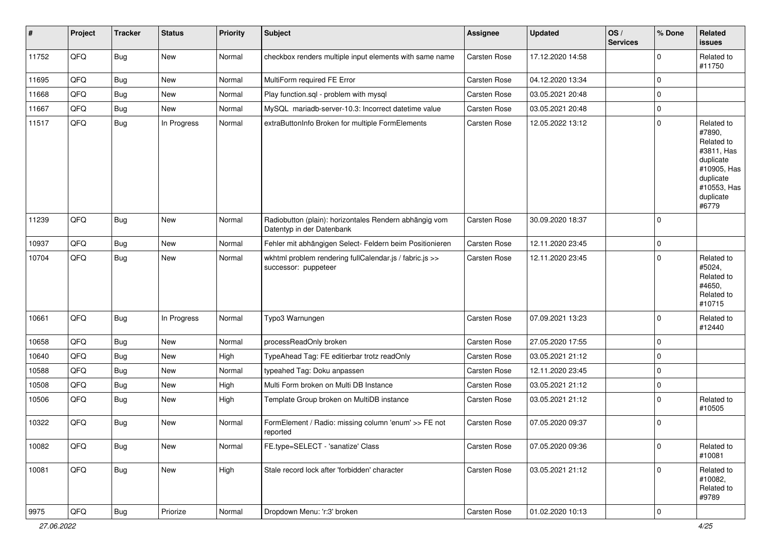| #     | Project | <b>Tracker</b> | <b>Status</b> | <b>Priority</b> | <b>Subject</b>                                                                      | <b>Assignee</b> | <b>Updated</b>   | OS/<br><b>Services</b> | % Done      | Related<br>issues                                                                                                              |
|-------|---------|----------------|---------------|-----------------|-------------------------------------------------------------------------------------|-----------------|------------------|------------------------|-------------|--------------------------------------------------------------------------------------------------------------------------------|
| 11752 | QFQ     | <b>Bug</b>     | New           | Normal          | checkbox renders multiple input elements with same name                             | Carsten Rose    | 17.12.2020 14:58 |                        | $\Omega$    | Related to<br>#11750                                                                                                           |
| 11695 | QFQ     | <b>Bug</b>     | New           | Normal          | MultiForm required FE Error                                                         | Carsten Rose    | 04.12.2020 13:34 |                        | 0           |                                                                                                                                |
| 11668 | QFQ     | Bug            | New           | Normal          | Play function.sql - problem with mysql                                              | Carsten Rose    | 03.05.2021 20:48 |                        | $\mathbf 0$ |                                                                                                                                |
| 11667 | QFQ     | Bug            | New           | Normal          | MySQL mariadb-server-10.3: Incorrect datetime value                                 | Carsten Rose    | 03.05.2021 20:48 |                        | 0           |                                                                                                                                |
| 11517 | QFQ     | <b>Bug</b>     | In Progress   | Normal          | extraButtonInfo Broken for multiple FormElements                                    | Carsten Rose    | 12.05.2022 13:12 |                        | $\mathbf 0$ | Related to<br>#7890,<br>Related to<br>#3811, Has<br>duplicate<br>#10905, Has<br>duplicate<br>#10553, Has<br>duplicate<br>#6779 |
| 11239 | QFQ     | <b>Bug</b>     | New           | Normal          | Radiobutton (plain): horizontales Rendern abhängig vom<br>Datentyp in der Datenbank | Carsten Rose    | 30.09.2020 18:37 |                        | $\mathbf 0$ |                                                                                                                                |
| 10937 | QFQ     | Bug            | New           | Normal          | Fehler mit abhängigen Select- Feldern beim Positionieren                            | Carsten Rose    | 12.11.2020 23:45 |                        | $\mathbf 0$ |                                                                                                                                |
| 10704 | QFQ     | <b>Bug</b>     | New           | Normal          | wkhtml problem rendering fullCalendar.js / fabric.js >><br>successor: puppeteer     | Carsten Rose    | 12.11.2020 23:45 |                        | $\mathbf 0$ | Related to<br>#5024,<br>Related to<br>#4650,<br>Related to<br>#10715                                                           |
| 10661 | QFQ     | <b>Bug</b>     | In Progress   | Normal          | Typo3 Warnungen                                                                     | Carsten Rose    | 07.09.2021 13:23 |                        | $\mathbf 0$ | Related to<br>#12440                                                                                                           |
| 10658 | QFQ     | Bug            | New           | Normal          | processReadOnly broken                                                              | Carsten Rose    | 27.05.2020 17:55 |                        | $\mathbf 0$ |                                                                                                                                |
| 10640 | QFQ     | Bug            | New           | High            | TypeAhead Tag: FE editierbar trotz readOnly                                         | Carsten Rose    | 03.05.2021 21:12 |                        | 0           |                                                                                                                                |
| 10588 | QFQ     | Bug            | New           | Normal          | typeahed Tag: Doku anpassen                                                         | Carsten Rose    | 12.11.2020 23:45 |                        | $\mathbf 0$ |                                                                                                                                |
| 10508 | QFQ     | Bug            | New           | High            | Multi Form broken on Multi DB Instance                                              | Carsten Rose    | 03.05.2021 21:12 |                        | 0           |                                                                                                                                |
| 10506 | QFQ     | Bug            | New           | High            | Template Group broken on MultiDB instance                                           | Carsten Rose    | 03.05.2021 21:12 |                        | $\Omega$    | Related to<br>#10505                                                                                                           |
| 10322 | QFQ     | <b>Bug</b>     | New           | Normal          | FormElement / Radio: missing column 'enum' >> FE not<br>reported                    | Carsten Rose    | 07.05.2020 09:37 |                        | $\mathbf 0$ |                                                                                                                                |
| 10082 | QFQ     | <b>Bug</b>     | New           | Normal          | FE.type=SELECT - 'sanatize' Class                                                   | Carsten Rose    | 07.05.2020 09:36 |                        | $\mathbf 0$ | Related to<br>#10081                                                                                                           |
| 10081 | QFQ     | <b>Bug</b>     | New           | High            | Stale record lock after 'forbidden' character                                       | Carsten Rose    | 03.05.2021 21:12 |                        | $\mathbf 0$ | Related to<br>#10082,<br>Related to<br>#9789                                                                                   |
| 9975  | QFQ     | <b>Bug</b>     | Priorize      | Normal          | Dropdown Menu: 'r:3' broken                                                         | Carsten Rose    | 01.02.2020 10:13 |                        | 0           |                                                                                                                                |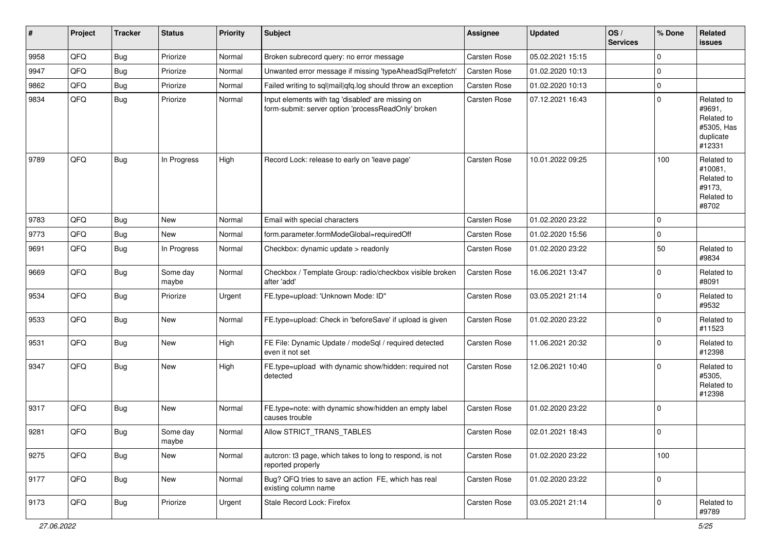| #    | Project | <b>Tracker</b> | <b>Status</b>     | <b>Priority</b> | Subject                                                                                                  | <b>Assignee</b> | <b>Updated</b>   | OS/<br><b>Services</b> | % Done      | Related<br>issues                                                       |
|------|---------|----------------|-------------------|-----------------|----------------------------------------------------------------------------------------------------------|-----------------|------------------|------------------------|-------------|-------------------------------------------------------------------------|
| 9958 | QFQ     | <b>Bug</b>     | Priorize          | Normal          | Broken subrecord query: no error message                                                                 | Carsten Rose    | 05.02.2021 15:15 |                        | $\Omega$    |                                                                         |
| 9947 | QFQ     | <b>Bug</b>     | Priorize          | Normal          | Unwanted error message if missing 'typeAheadSqlPrefetch'                                                 | Carsten Rose    | 01.02.2020 10:13 |                        | $\mathbf 0$ |                                                                         |
| 9862 | QFQ     | <b>Bug</b>     | Priorize          | Normal          | Failed writing to sql mail qfq.log should throw an exception                                             | Carsten Rose    | 01.02.2020 10:13 |                        | $\Omega$    |                                                                         |
| 9834 | QFQ     | <b>Bug</b>     | Priorize          | Normal          | Input elements with tag 'disabled' are missing on<br>form-submit: server option 'processReadOnly' broken | Carsten Rose    | 07.12.2021 16:43 |                        | $\Omega$    | Related to<br>#9691,<br>Related to<br>#5305, Has<br>duplicate<br>#12331 |
| 9789 | QFQ     | <b>Bug</b>     | In Progress       | High            | Record Lock: release to early on 'leave page'                                                            | Carsten Rose    | 10.01.2022 09:25 |                        | 100         | Related to<br>#10081.<br>Related to<br>#9173.<br>Related to<br>#8702    |
| 9783 | QFQ     | <b>Bug</b>     | New               | Normal          | Email with special characters                                                                            | Carsten Rose    | 01.02.2020 23:22 |                        | $\mathbf 0$ |                                                                         |
| 9773 | QFQ     | <b>Bug</b>     | New               | Normal          | form.parameter.formModeGlobal=requiredOff                                                                | Carsten Rose    | 01.02.2020 15:56 |                        | $\Omega$    |                                                                         |
| 9691 | QFQ     | <b>Bug</b>     | In Progress       | Normal          | Checkbox: dynamic update > readonly                                                                      | Carsten Rose    | 01.02.2020 23:22 |                        | 50          | Related to<br>#9834                                                     |
| 9669 | QFQ     | <b>Bug</b>     | Some day<br>maybe | Normal          | Checkbox / Template Group: radio/checkbox visible broken<br>after 'add'                                  | Carsten Rose    | 16.06.2021 13:47 |                        | $\Omega$    | Related to<br>#8091                                                     |
| 9534 | QFQ     | <b>Bug</b>     | Priorize          | Urgent          | FE.type=upload: 'Unknown Mode: ID"                                                                       | Carsten Rose    | 03.05.2021 21:14 |                        | $\Omega$    | Related to<br>#9532                                                     |
| 9533 | QFQ     | <b>Bug</b>     | New               | Normal          | FE.type=upload: Check in 'beforeSave' if upload is given                                                 | Carsten Rose    | 01.02.2020 23:22 |                        | $\Omega$    | Related to<br>#11523                                                    |
| 9531 | QFQ     | <b>Bug</b>     | New               | High            | FE File: Dynamic Update / modeSql / required detected<br>even it not set                                 | Carsten Rose    | 11.06.2021 20:32 |                        | $\Omega$    | Related to<br>#12398                                                    |
| 9347 | QFQ     | Bug            | New               | High            | FE.type=upload with dynamic show/hidden: required not<br>detected                                        | Carsten Rose    | 12.06.2021 10:40 |                        | $\Omega$    | Related to<br>#5305,<br>Related to<br>#12398                            |
| 9317 | QFQ     | <b>Bug</b>     | New               | Normal          | FE.type=note: with dynamic show/hidden an empty label<br>causes trouble                                  | Carsten Rose    | 01.02.2020 23:22 |                        | $\mathbf 0$ |                                                                         |
| 9281 | QFQ     | Bug            | Some day<br>maybe | Normal          | Allow STRICT TRANS TABLES                                                                                | Carsten Rose    | 02.01.2021 18:43 |                        | $\mathbf 0$ |                                                                         |
| 9275 | QFQ     | <b>Bug</b>     | New               | Normal          | autcron: t3 page, which takes to long to respond, is not<br>reported properly                            | Carsten Rose    | 01.02.2020 23:22 |                        | 100         |                                                                         |
| 9177 | QFQ     | <b>Bug</b>     | New               | Normal          | Bug? QFQ tries to save an action FE, which has real<br>existing column name                              | Carsten Rose    | 01.02.2020 23:22 |                        | $\pmb{0}$   |                                                                         |
| 9173 | QFQ     | Bug            | Priorize          | Urgent          | Stale Record Lock: Firefox                                                                               | Carsten Rose    | 03.05.2021 21:14 |                        | $\mathbf 0$ | Related to<br>#9789                                                     |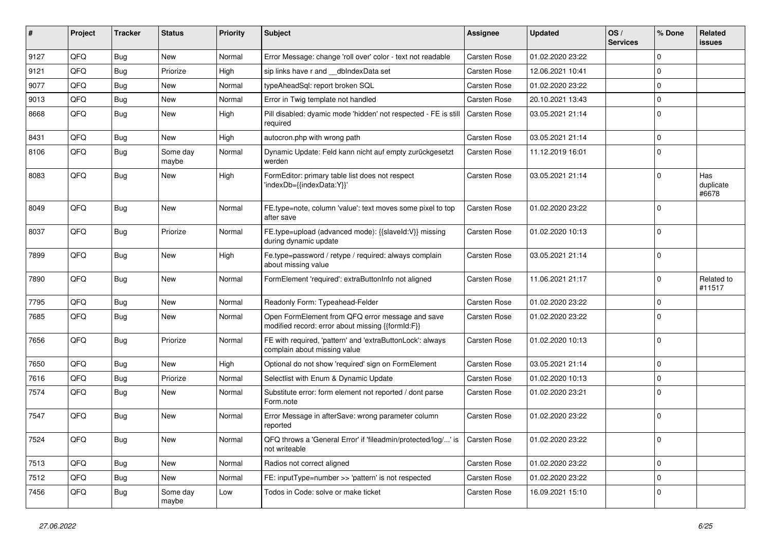| ∦    | Project | <b>Tracker</b> | <b>Status</b>     | <b>Priority</b> | Subject                                                                                               | <b>Assignee</b> | <b>Updated</b>   | OS/<br><b>Services</b> | % Done      | <b>Related</b><br><b>issues</b> |
|------|---------|----------------|-------------------|-----------------|-------------------------------------------------------------------------------------------------------|-----------------|------------------|------------------------|-------------|---------------------------------|
| 9127 | QFQ     | <b>Bug</b>     | <b>New</b>        | Normal          | Error Message: change 'roll over' color - text not readable                                           | Carsten Rose    | 01.02.2020 23:22 |                        | $\Omega$    |                                 |
| 9121 | QFQ     | <b>Bug</b>     | Priorize          | High            | sip links have r and dblndexData set                                                                  | Carsten Rose    | 12.06.2021 10:41 |                        | 0           |                                 |
| 9077 | QFQ     | <b>Bug</b>     | <b>New</b>        | Normal          | typeAheadSql: report broken SQL                                                                       | Carsten Rose    | 01.02.2020 23:22 |                        | $\Omega$    |                                 |
| 9013 | QFQ     | <b>Bug</b>     | <b>New</b>        | Normal          | Error in Twig template not handled                                                                    | Carsten Rose    | 20.10.2021 13:43 |                        | $\mathbf 0$ |                                 |
| 8668 | QFQ     | Bug            | <b>New</b>        | High            | Pill disabled: dyamic mode 'hidden' not respected - FE is still<br>required                           | Carsten Rose    | 03.05.2021 21:14 |                        | $\mathbf 0$ |                                 |
| 8431 | QFQ     | <b>Bug</b>     | New               | High            | autocron.php with wrong path                                                                          | Carsten Rose    | 03.05.2021 21:14 |                        | $\mathbf 0$ |                                 |
| 8106 | QFQ     | Bug            | Some day<br>maybe | Normal          | Dynamic Update: Feld kann nicht auf empty zurückgesetzt<br>werden                                     | Carsten Rose    | 11.12.2019 16:01 |                        | $\mathbf 0$ |                                 |
| 8083 | QFQ     | Bug            | New               | High            | FormEditor: primary table list does not respect<br>'indexDb={{indexData:Y}}'                          | Carsten Rose    | 03.05.2021 21:14 |                        | $\mathbf 0$ | Has<br>duplicate<br>#6678       |
| 8049 | QFQ     | Bug            | New               | Normal          | FE.type=note, column 'value': text moves some pixel to top<br>after save                              | Carsten Rose    | 01.02.2020 23:22 |                        | $\mathbf 0$ |                                 |
| 8037 | QFQ     | Bug            | Priorize          | Normal          | FE.type=upload (advanced mode): {{slaveld:V}} missing<br>during dynamic update                        | Carsten Rose    | 01.02.2020 10:13 |                        | 0           |                                 |
| 7899 | QFQ     | <b>Bug</b>     | New               | High            | Fe.type=password / retype / required: always complain<br>about missing value                          | Carsten Rose    | 03.05.2021 21:14 |                        | 0           |                                 |
| 7890 | QFQ     | Bug            | New               | Normal          | FormElement 'required': extraButtonInfo not aligned                                                   | Carsten Rose    | 11.06.2021 21:17 |                        | $\Omega$    | Related to<br>#11517            |
| 7795 | QFQ     | <b>Bug</b>     | New               | Normal          | Readonly Form: Typeahead-Felder                                                                       | Carsten Rose    | 01.02.2020 23:22 |                        | $\mathbf 0$ |                                 |
| 7685 | QFQ     | Bug            | <b>New</b>        | Normal          | Open FormElement from QFQ error message and save<br>modified record: error about missing {{formId:F}} | Carsten Rose    | 01.02.2020 23:22 |                        | $\Omega$    |                                 |
| 7656 | QFQ     | Bug            | Priorize          | Normal          | FE with required, 'pattern' and 'extraButtonLock': always<br>complain about missing value             | Carsten Rose    | 01.02.2020 10:13 |                        | $\mathbf 0$ |                                 |
| 7650 | QFQ     | <b>Bug</b>     | New               | High            | Optional do not show 'required' sign on FormElement                                                   | Carsten Rose    | 03.05.2021 21:14 |                        | $\mathbf 0$ |                                 |
| 7616 | QFQ     | <b>Bug</b>     | Priorize          | Normal          | Selectlist with Enum & Dynamic Update                                                                 | Carsten Rose    | 01.02.2020 10:13 |                        | $\Omega$    |                                 |
| 7574 | QFQ     | Bug            | New               | Normal          | Substitute error: form element not reported / dont parse<br>Form.note                                 | Carsten Rose    | 01.02.2020 23:21 |                        | $\mathbf 0$ |                                 |
| 7547 | QFQ     | Bug            | New               | Normal          | Error Message in afterSave: wrong parameter column<br>reported                                        | Carsten Rose    | 01.02.2020 23:22 |                        | $\mathbf 0$ |                                 |
| 7524 | QFQ     | <b>Bug</b>     | New               | Normal          | QFQ throws a 'General Error' if 'fileadmin/protected/log/' is   Carsten Rose<br>not writeable         |                 | 01.02.2020 23:22 |                        | 0           |                                 |
| 7513 | QFQ     | <b>Bug</b>     | New               | Normal          | Radios not correct aligned                                                                            | Carsten Rose    | 01.02.2020 23:22 |                        | 0           |                                 |
| 7512 | QFQ     | <b>Bug</b>     | New               | Normal          | FE: inputType=number >> 'pattern' is not respected                                                    | Carsten Rose    | 01.02.2020 23:22 |                        | $\mathbf 0$ |                                 |
| 7456 | QFQ     | <b>Bug</b>     | Some day<br>maybe | Low             | Todos in Code: solve or make ticket                                                                   | Carsten Rose    | 16.09.2021 15:10 |                        | 0           |                                 |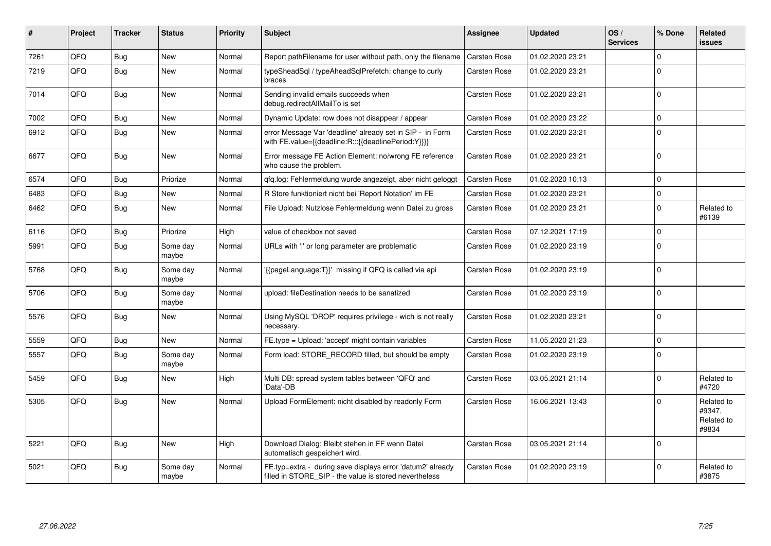| #    | Project | <b>Tracker</b> | <b>Status</b>     | <b>Priority</b> | <b>Subject</b>                                                                                                       | <b>Assignee</b>     | <b>Updated</b>   | OS/<br><b>Services</b> | % Done         | Related<br>issues                           |
|------|---------|----------------|-------------------|-----------------|----------------------------------------------------------------------------------------------------------------------|---------------------|------------------|------------------------|----------------|---------------------------------------------|
| 7261 | QFQ     | <b>Bug</b>     | <b>New</b>        | Normal          | Report pathFilename for user without path, only the filename                                                         | <b>Carsten Rose</b> | 01.02.2020 23:21 |                        | $\mathbf 0$    |                                             |
| 7219 | QFQ     | Bug            | New               | Normal          | typeSheadSql / typeAheadSqlPrefetch: change to curly<br>braces                                                       | Carsten Rose        | 01.02.2020 23:21 |                        | $\Omega$       |                                             |
| 7014 | QFQ     | Bug            | New               | Normal          | Sending invalid emails succeeds when<br>debug.redirectAllMailTo is set                                               | Carsten Rose        | 01.02.2020 23:21 |                        | $\overline{0}$ |                                             |
| 7002 | QFQ     | Bug            | New               | Normal          | Dynamic Update: row does not disappear / appear                                                                      | Carsten Rose        | 01.02.2020 23:22 |                        | $\mathbf 0$    |                                             |
| 6912 | QFQ     | Bug            | New               | Normal          | error Message Var 'deadline' already set in SIP - in Form<br>with FE.value={{deadline:R:::{{deadlinePeriod:Y}}}}     | <b>Carsten Rose</b> | 01.02.2020 23:21 |                        | $\mathbf 0$    |                                             |
| 6677 | QFQ     | Bug            | New               | Normal          | Error message FE Action Element: no/wrong FE reference<br>who cause the problem.                                     | Carsten Rose        | 01.02.2020 23:21 |                        | $\overline{0}$ |                                             |
| 6574 | QFQ     | Bug            | Priorize          | Normal          | gfg.log: Fehlermeldung wurde angezeigt, aber nicht geloggt                                                           | <b>Carsten Rose</b> | 01.02.2020 10:13 |                        | $\Omega$       |                                             |
| 6483 | QFQ     | Bug            | <b>New</b>        | Normal          | R Store funktioniert nicht bei 'Report Notation' im FE                                                               | Carsten Rose        | 01.02.2020 23:21 |                        | $\Omega$       |                                             |
| 6462 | QFQ     | <b>Bug</b>     | New               | Normal          | File Upload: Nutzlose Fehlermeldung wenn Datei zu gross                                                              | Carsten Rose        | 01.02.2020 23:21 |                        | $\overline{0}$ | Related to<br>#6139                         |
| 6116 | QFQ     | Bug            | Priorize          | High            | value of checkbox not saved                                                                                          | <b>Carsten Rose</b> | 07.12.2021 17:19 |                        | $\Omega$       |                                             |
| 5991 | QFQ     | Bug            | Some day<br>maybe | Normal          | URLs with ' ' or long parameter are problematic                                                                      | Carsten Rose        | 01.02.2020 23:19 |                        | $\Omega$       |                                             |
| 5768 | QFQ     | <b>Bug</b>     | Some day<br>maybe | Normal          | '{{pageLanguage:T}}' missing if QFQ is called via api                                                                | Carsten Rose        | 01.02.2020 23:19 |                        | $\overline{0}$ |                                             |
| 5706 | QFQ     | <b>Bug</b>     | Some day<br>maybe | Normal          | upload: fileDestination needs to be sanatized                                                                        | Carsten Rose        | 01.02.2020 23:19 |                        | $\overline{0}$ |                                             |
| 5576 | QFQ     | Bug            | New               | Normal          | Using MySQL 'DROP' requires privilege - wich is not really<br>necessary.                                             | Carsten Rose        | 01.02.2020 23:21 |                        | $\overline{0}$ |                                             |
| 5559 | QFQ     | Bug            | New               | Normal          | FE.type = Upload: 'accept' might contain variables                                                                   | Carsten Rose        | 11.05.2020 21:23 |                        | $\mathbf 0$    |                                             |
| 5557 | QFQ     | Bug            | Some day<br>maybe | Normal          | Form load: STORE RECORD filled, but should be empty                                                                  | Carsten Rose        | 01.02.2020 23:19 |                        | $\overline{0}$ |                                             |
| 5459 | QFQ     | <b>Bug</b>     | New               | High            | Multi DB: spread system tables between 'QFQ' and<br>'Data'-DB                                                        | Carsten Rose        | 03.05.2021 21:14 |                        | $\Omega$       | Related to<br>#4720                         |
| 5305 | QFQ     | Bug            | New               | Normal          | Upload FormElement: nicht disabled by readonly Form                                                                  | Carsten Rose        | 16.06.2021 13:43 |                        | $\Omega$       | Related to<br>#9347,<br>Related to<br>#9834 |
| 5221 | QFQ     | Bug            | New               | High            | Download Dialog: Bleibt stehen in FF wenn Datei<br>automatisch gespeichert wird.                                     | Carsten Rose        | 03.05.2021 21:14 |                        | $\overline{0}$ |                                             |
| 5021 | QFQ     | Bug            | Some day<br>maybe | Normal          | FE.typ=extra - during save displays error 'datum2' already<br>filled in STORE SIP - the value is stored nevertheless | Carsten Rose        | 01.02.2020 23:19 |                        | $\Omega$       | Related to<br>#3875                         |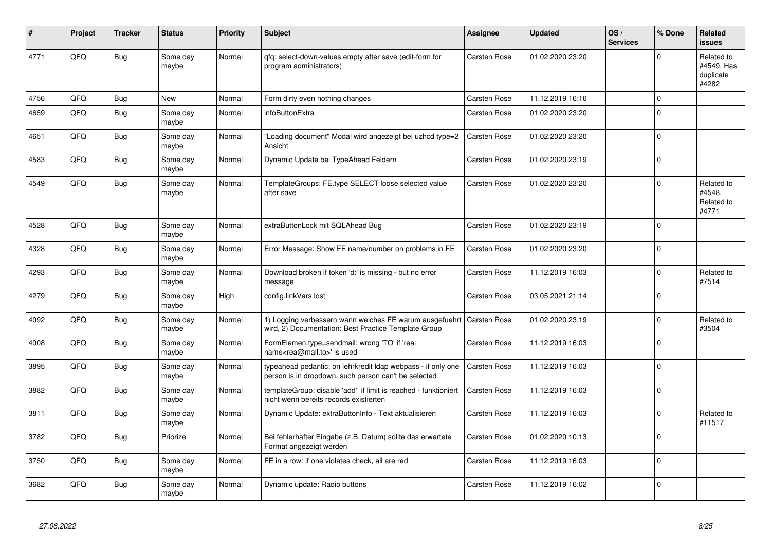| ∦    | Project | <b>Tracker</b> | <b>Status</b>     | <b>Priority</b> | <b>Subject</b>                                                                                                       | <b>Assignee</b>     | <b>Updated</b>   | OS/<br><b>Services</b> | % Done      | Related<br><b>issues</b>                       |
|------|---------|----------------|-------------------|-----------------|----------------------------------------------------------------------------------------------------------------------|---------------------|------------------|------------------------|-------------|------------------------------------------------|
| 4771 | QFQ     | <b>Bug</b>     | Some day<br>maybe | Normal          | qfq: select-down-values empty after save (edit-form for<br>program administrators)                                   | Carsten Rose        | 01.02.2020 23:20 |                        | $\Omega$    | Related to<br>#4549, Has<br>duplicate<br>#4282 |
| 4756 | QFQ     | Bug            | <b>New</b>        | Normal          | Form dirty even nothing changes                                                                                      | Carsten Rose        | 11.12.2019 16:16 |                        | $\mathbf 0$ |                                                |
| 4659 | QFQ     | <b>Bug</b>     | Some day<br>maybe | Normal          | infoButtonExtra                                                                                                      | Carsten Rose        | 01.02.2020 23:20 |                        | $\Omega$    |                                                |
| 4651 | QFQ     | <b>Bug</b>     | Some day<br>maybe | Normal          | "Loading document" Modal wird angezeigt bei uzhcd type=2<br>Ansicht                                                  | Carsten Rose        | 01.02.2020 23:20 |                        | $\Omega$    |                                                |
| 4583 | QFQ     | <b>Bug</b>     | Some day<br>maybe | Normal          | Dynamic Update bei TypeAhead Feldern                                                                                 | Carsten Rose        | 01.02.2020 23:19 |                        | $\Omega$    |                                                |
| 4549 | QFQ     | <b>Bug</b>     | Some day<br>maybe | Normal          | TemplateGroups: FE.type SELECT loose selected value<br>after save                                                    | Carsten Rose        | 01.02.2020 23:20 |                        | $\Omega$    | Related to<br>#4548,<br>Related to<br>#4771    |
| 4528 | QFQ     | Bug            | Some day<br>maybe | Normal          | extraButtonLock mit SQLAhead Bug                                                                                     | Carsten Rose        | 01.02.2020 23:19 |                        | $\mathbf 0$ |                                                |
| 4328 | QFQ     | <b>Bug</b>     | Some day<br>maybe | Normal          | Error Message: Show FE name/number on problems in FE                                                                 | Carsten Rose        | 01.02.2020 23:20 |                        | $\Omega$    |                                                |
| 4293 | QFQ     | <b>Bug</b>     | Some day<br>maybe | Normal          | Download broken if token 'd:' is missing - but no error<br>message                                                   | Carsten Rose        | 11.12.2019 16:03 |                        | $\Omega$    | Related to<br>#7514                            |
| 4279 | QFQ     | <b>Bug</b>     | Some day<br>maybe | High            | config.linkVars lost                                                                                                 | Carsten Rose        | 03.05.2021 21:14 |                        | $\Omega$    |                                                |
| 4092 | QFQ     | <b>Bug</b>     | Some day<br>maybe | Normal          | 1) Logging verbessern wann welches FE warum ausgefuehrt<br>wird, 2) Documentation: Best Practice Template Group      | <b>Carsten Rose</b> | 01.02.2020 23:19 |                        | $\Omega$    | Related to<br>#3504                            |
| 4008 | QFQ     | Bug            | Some day<br>maybe | Normal          | FormElemen.type=sendmail: wrong 'TO' if 'real<br>name <rea@mail.to>' is used</rea@mail.to>                           | Carsten Rose        | 11.12.2019 16:03 |                        | $\Omega$    |                                                |
| 3895 | QFQ     | Bug            | Some day<br>maybe | Normal          | typeahead pedantic: on lehrkredit Idap webpass - if only one<br>person is in dropdown, such person can't be selected | <b>Carsten Rose</b> | 11.12.2019 16:03 |                        | $\mathbf 0$ |                                                |
| 3882 | QFQ     | Bug            | Some day<br>maybe | Normal          | templateGroup: disable 'add' if limit is reached - funktioniert<br>nicht wenn bereits records existierten            | <b>Carsten Rose</b> | 11.12.2019 16:03 |                        | $\Omega$    |                                                |
| 3811 | QFQ     | Bug            | Some day<br>maybe | Normal          | Dynamic Update: extraButtonInfo - Text aktualisieren                                                                 | Carsten Rose        | 11.12.2019 16:03 |                        | $\Omega$    | Related to<br>#11517                           |
| 3782 | QFQ     | Bug            | Priorize          | Normal          | Bei fehlerhafter Eingabe (z.B. Datum) sollte das erwartete<br>Format angezeigt werden                                | Carsten Rose        | 01.02.2020 10:13 |                        | $\Omega$    |                                                |
| 3750 | QFQ     | Bug            | Some day<br>maybe | Normal          | FE in a row: if one violates check, all are red                                                                      | Carsten Rose        | 11.12.2019 16:03 |                        | $\Omega$    |                                                |
| 3682 | QFQ     | <b>Bug</b>     | Some day<br>maybe | Normal          | Dynamic update: Radio buttons                                                                                        | Carsten Rose        | 11.12.2019 16:02 |                        | $\Omega$    |                                                |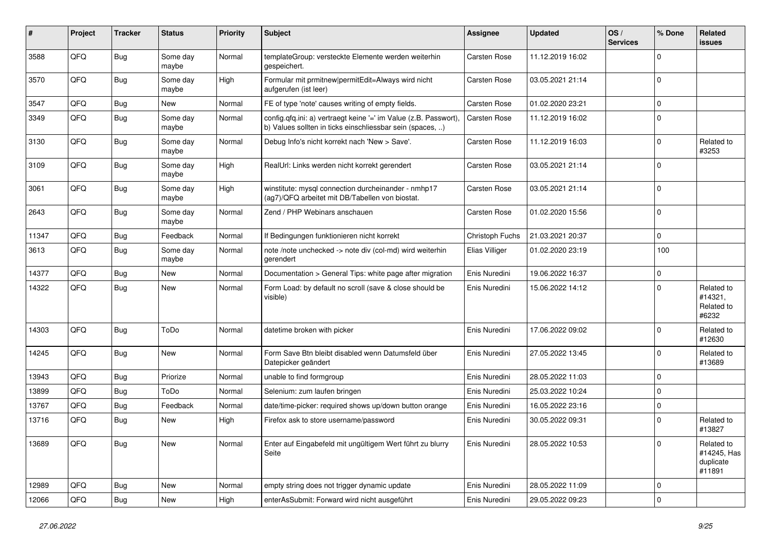| ∦     | Project | <b>Tracker</b> | <b>Status</b>     | <b>Priority</b> | <b>Subject</b>                                                                                                                | Assignee            | <b>Updated</b>   | OS/<br><b>Services</b> | % Done      | Related<br>issues                                |
|-------|---------|----------------|-------------------|-----------------|-------------------------------------------------------------------------------------------------------------------------------|---------------------|------------------|------------------------|-------------|--------------------------------------------------|
| 3588  | QFQ     | Bug            | Some day<br>maybe | Normal          | templateGroup: versteckte Elemente werden weiterhin<br>gespeichert.                                                           | Carsten Rose        | 11.12.2019 16:02 |                        | $\Omega$    |                                                  |
| 3570  | QFQ     | <b>Bug</b>     | Some day<br>maybe | High            | Formular mit prmitnew permitEdit=Always wird nicht<br>aufgerufen (ist leer)                                                   | Carsten Rose        | 03.05.2021 21:14 |                        | $\Omega$    |                                                  |
| 3547  | QFQ     | <b>Bug</b>     | New               | Normal          | FE of type 'note' causes writing of empty fields.                                                                             | <b>Carsten Rose</b> | 01.02.2020 23:21 |                        | $\Omega$    |                                                  |
| 3349  | QFQ     | <b>Bug</b>     | Some day<br>maybe | Normal          | config.qfq.ini: a) vertraegt keine '=' im Value (z.B. Passwort),<br>b) Values sollten in ticks einschliessbar sein (spaces, ) | Carsten Rose        | 11.12.2019 16:02 |                        | $\Omega$    |                                                  |
| 3130  | QFQ     | Bug            | Some day<br>maybe | Normal          | Debug Info's nicht korrekt nach 'New > Save'.                                                                                 | Carsten Rose        | 11.12.2019 16:03 |                        | $\Omega$    | Related to<br>#3253                              |
| 3109  | QFQ     | Bug            | Some day<br>maybe | High            | RealUrl: Links werden nicht korrekt gerendert                                                                                 | Carsten Rose        | 03.05.2021 21:14 |                        | $\Omega$    |                                                  |
| 3061  | QFQ     | Bug            | Some day<br>maybe | High            | winstitute: mysql connection durcheinander - nmhp17<br>(ag7)/QFQ arbeitet mit DB/Tabellen von biostat.                        | Carsten Rose        | 03.05.2021 21:14 |                        | $\mathbf 0$ |                                                  |
| 2643  | QFQ     | <b>Bug</b>     | Some day<br>maybe | Normal          | Zend / PHP Webinars anschauen                                                                                                 | Carsten Rose        | 01.02.2020 15:56 |                        | $\mathbf 0$ |                                                  |
| 11347 | QFQ     | Bug            | Feedback          | Normal          | If Bedingungen funktionieren nicht korrekt                                                                                    | Christoph Fuchs     | 21.03.2021 20:37 |                        | $\Omega$    |                                                  |
| 3613  | QFQ     | <b>Bug</b>     | Some day<br>maybe | Normal          | note /note unchecked -> note div (col-md) wird weiterhin<br>gerendert                                                         | Elias Villiger      | 01.02.2020 23:19 |                        | 100         |                                                  |
| 14377 | QFQ     | Bug            | New               | Normal          | Documentation > General Tips: white page after migration                                                                      | Enis Nuredini       | 19.06.2022 16:37 |                        | $\Omega$    |                                                  |
| 14322 | QFQ     | Bug            | <b>New</b>        | Normal          | Form Load: by default no scroll (save & close should be<br>visible)                                                           | Enis Nuredini       | 15.06.2022 14:12 |                        | $\Omega$    | Related to<br>#14321,<br>Related to<br>#6232     |
| 14303 | QFQ     | <b>Bug</b>     | ToDo              | Normal          | datetime broken with picker                                                                                                   | Enis Nuredini       | 17.06.2022 09:02 |                        | $\Omega$    | Related to<br>#12630                             |
| 14245 | QFQ     | Bug            | New               | Normal          | Form Save Btn bleibt disabled wenn Datumsfeld über<br>Datepicker geändert                                                     | Enis Nuredini       | 27.05.2022 13:45 |                        | $\Omega$    | Related to<br>#13689                             |
| 13943 | QFQ     | <b>Bug</b>     | Priorize          | Normal          | unable to find formgroup                                                                                                      | Enis Nuredini       | 28.05.2022 11:03 |                        | $\mathbf 0$ |                                                  |
| 13899 | QFQ     | <b>Bug</b>     | ToDo              | Normal          | Selenium: zum laufen bringen                                                                                                  | Enis Nuredini       | 25.03.2022 10:24 |                        | $\Omega$    |                                                  |
| 13767 | QFQ     | <b>Bug</b>     | Feedback          | Normal          | date/time-picker: required shows up/down button orange                                                                        | Enis Nuredini       | 16.05.2022 23:16 |                        | $\Omega$    |                                                  |
| 13716 | QFQ     | Bug            | <b>New</b>        | High            | Firefox ask to store username/password                                                                                        | Enis Nuredini       | 30.05.2022 09:31 |                        | $\Omega$    | Related to<br>#13827                             |
| 13689 | QFQ     | <b>Bug</b>     | New               | Normal          | Enter auf Eingabefeld mit ungültigem Wert führt zu blurry<br>Seite                                                            | Enis Nuredini       | 28.05.2022 10:53 |                        | 0           | Related to<br>#14245, Has<br>duplicate<br>#11891 |
| 12989 | QFQ     | <b>Bug</b>     | New               | Normal          | empty string does not trigger dynamic update                                                                                  | Enis Nuredini       | 28.05.2022 11:09 |                        | $\mathbf 0$ |                                                  |
| 12066 | QFQ     | <b>Bug</b>     | New               | High            | enterAsSubmit: Forward wird nicht ausgeführt                                                                                  | Enis Nuredini       | 29.05.2022 09:23 |                        | 0           |                                                  |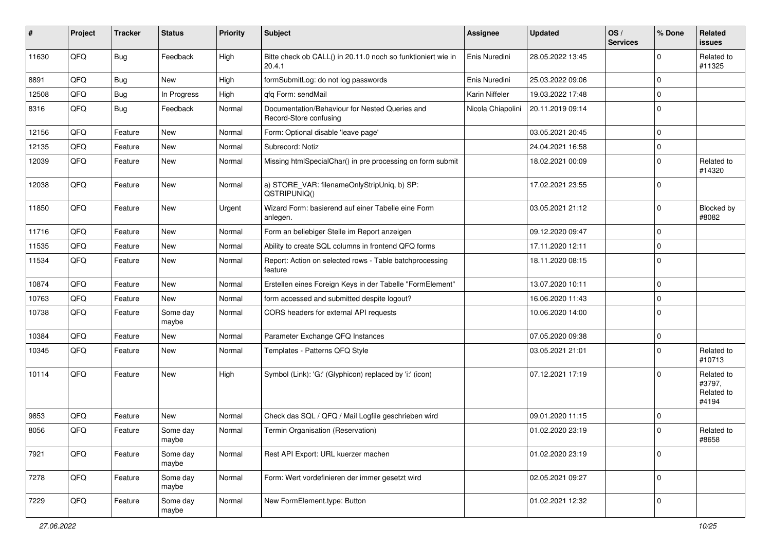| #     | Project | <b>Tracker</b> | <b>Status</b>     | <b>Priority</b> | <b>Subject</b>                                                           | <b>Assignee</b>   | <b>Updated</b>   | OS/<br><b>Services</b> | % Done      | Related<br><b>issues</b>                    |
|-------|---------|----------------|-------------------|-----------------|--------------------------------------------------------------------------|-------------------|------------------|------------------------|-------------|---------------------------------------------|
| 11630 | QFQ     | Bug            | Feedback          | High            | Bitte check ob CALL() in 20.11.0 noch so funktioniert wie in<br>20.4.1   | Enis Nuredini     | 28.05.2022 13:45 |                        | $\Omega$    | Related to<br>#11325                        |
| 8891  | QFQ     | <b>Bug</b>     | <b>New</b>        | High            | formSubmitLog: do not log passwords                                      | Enis Nuredini     | 25.03.2022 09:06 |                        | $\Omega$    |                                             |
| 12508 | QFQ     | Bug            | In Progress       | High            | qfq Form: sendMail                                                       | Karin Niffeler    | 19.03.2022 17:48 |                        | 0           |                                             |
| 8316  | QFQ     | Bug            | Feedback          | Normal          | Documentation/Behaviour for Nested Queries and<br>Record-Store confusing | Nicola Chiapolini | 20.11.2019 09:14 |                        | $\Omega$    |                                             |
| 12156 | QFQ     | Feature        | <b>New</b>        | Normal          | Form: Optional disable 'leave page'                                      |                   | 03.05.2021 20:45 |                        | $\mathbf 0$ |                                             |
| 12135 | QFQ     | Feature        | New               | Normal          | Subrecord: Notiz                                                         |                   | 24.04.2021 16:58 |                        | 0           |                                             |
| 12039 | QFQ     | Feature        | New               | Normal          | Missing htmlSpecialChar() in pre processing on form submit               |                   | 18.02.2021 00:09 |                        | $\Omega$    | Related to<br>#14320                        |
| 12038 | QFQ     | Feature        | New               | Normal          | a) STORE_VAR: filenameOnlyStripUniq, b) SP:<br>QSTRIPUNIQ()              |                   | 17.02.2021 23:55 |                        | $\Omega$    |                                             |
| 11850 | QFQ     | Feature        | New               | Urgent          | Wizard Form: basierend auf einer Tabelle eine Form<br>anlegen.           |                   | 03.05.2021 21:12 |                        | $\Omega$    | Blocked by<br>#8082                         |
| 11716 | QFQ     | Feature        | <b>New</b>        | Normal          | Form an beliebiger Stelle im Report anzeigen                             |                   | 09.12.2020 09:47 |                        | $\Omega$    |                                             |
| 11535 | QFQ     | Feature        | New               | Normal          | Ability to create SQL columns in frontend QFQ forms                      |                   | 17.11.2020 12:11 |                        | 0           |                                             |
| 11534 | QFQ     | Feature        | <b>New</b>        | Normal          | Report: Action on selected rows - Table batchprocessing<br>feature       |                   | 18.11.2020 08:15 |                        | $\Omega$    |                                             |
| 10874 | QFQ     | Feature        | New               | Normal          | Erstellen eines Foreign Keys in der Tabelle "FormElement"                |                   | 13.07.2020 10:11 |                        | $\Omega$    |                                             |
| 10763 | QFQ     | Feature        | New               | Normal          | form accessed and submitted despite logout?                              |                   | 16.06.2020 11:43 |                        | $\mathbf 0$ |                                             |
| 10738 | QFQ     | Feature        | Some day<br>maybe | Normal          | CORS headers for external API requests                                   |                   | 10.06.2020 14:00 |                        | $\Omega$    |                                             |
| 10384 | QFQ     | Feature        | New               | Normal          | Parameter Exchange QFQ Instances                                         |                   | 07.05.2020 09:38 |                        | 0           |                                             |
| 10345 | QFQ     | Feature        | New               | Normal          | Templates - Patterns QFQ Style                                           |                   | 03.05.2021 21:01 |                        | $\Omega$    | Related to<br>#10713                        |
| 10114 | QFQ     | Feature        | <b>New</b>        | High            | Symbol (Link): 'G:' (Glyphicon) replaced by 'i:' (icon)                  |                   | 07.12.2021 17:19 |                        | $\Omega$    | Related to<br>#3797,<br>Related to<br>#4194 |
| 9853  | QFQ     | Feature        | <b>New</b>        | Normal          | Check das SQL / QFQ / Mail Logfile geschrieben wird                      |                   | 09.01.2020 11:15 |                        | $\Omega$    |                                             |
| 8056  | QFQ     | Feature        | Some day<br>maybe | Normal          | Termin Organisation (Reservation)                                        |                   | 01.02.2020 23:19 |                        | $\Omega$    | Related to<br>#8658                         |
| 7921  | QFQ     | Feature        | Some day<br>maybe | Normal          | Rest API Export: URL kuerzer machen                                      |                   | 01.02.2020 23:19 |                        | $\Omega$    |                                             |
| 7278  | QFQ     | Feature        | Some day<br>maybe | Normal          | Form: Wert vordefinieren der immer gesetzt wird                          |                   | 02.05.2021 09:27 |                        | $\mathbf 0$ |                                             |
| 7229  | QFG     | Feature        | Some day<br>maybe | Normal          | New FormElement.type: Button                                             |                   | 01.02.2021 12:32 |                        | $\mathbf 0$ |                                             |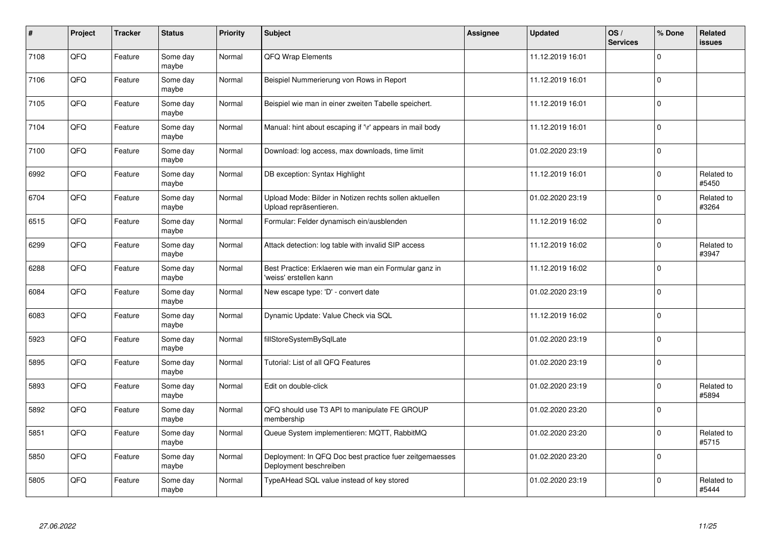| $\pmb{\#}$ | Project | <b>Tracker</b> | <b>Status</b>     | <b>Priority</b> | <b>Subject</b>                                                                    | <b>Assignee</b> | <b>Updated</b>   | OS/<br><b>Services</b> | % Done      | Related<br>issues   |
|------------|---------|----------------|-------------------|-----------------|-----------------------------------------------------------------------------------|-----------------|------------------|------------------------|-------------|---------------------|
| 7108       | QFQ     | Feature        | Some day<br>maybe | Normal          | <b>QFQ Wrap Elements</b>                                                          |                 | 11.12.2019 16:01 |                        | $\mathbf 0$ |                     |
| 7106       | QFQ     | Feature        | Some day<br>maybe | Normal          | Beispiel Nummerierung von Rows in Report                                          |                 | 11.12.2019 16:01 |                        | $\mathbf 0$ |                     |
| 7105       | QFQ     | Feature        | Some day<br>maybe | Normal          | Beispiel wie man in einer zweiten Tabelle speichert.                              |                 | 11.12.2019 16:01 |                        | $\mathbf 0$ |                     |
| 7104       | QFQ     | Feature        | Some day<br>maybe | Normal          | Manual: hint about escaping if '\r' appears in mail body                          |                 | 11.12.2019 16:01 |                        | $\Omega$    |                     |
| 7100       | QFQ     | Feature        | Some day<br>maybe | Normal          | Download: log access, max downloads, time limit                                   |                 | 01.02.2020 23:19 |                        | $\mathbf 0$ |                     |
| 6992       | QFQ     | Feature        | Some day<br>maybe | Normal          | DB exception: Syntax Highlight                                                    |                 | 11.12.2019 16:01 |                        | $\mathbf 0$ | Related to<br>#5450 |
| 6704       | QFQ     | Feature        | Some day<br>maybe | Normal          | Upload Mode: Bilder in Notizen rechts sollen aktuellen<br>Upload repräsentieren.  |                 | 01.02.2020 23:19 |                        | $\Omega$    | Related to<br>#3264 |
| 6515       | QFQ     | Feature        | Some day<br>maybe | Normal          | Formular: Felder dynamisch ein/ausblenden                                         |                 | 11.12.2019 16:02 |                        | $\Omega$    |                     |
| 6299       | QFQ     | Feature        | Some day<br>maybe | Normal          | Attack detection: log table with invalid SIP access                               |                 | 11.12.2019 16:02 |                        | $\mathbf 0$ | Related to<br>#3947 |
| 6288       | QFQ     | Feature        | Some day<br>maybe | Normal          | Best Practice: Erklaeren wie man ein Formular ganz in<br>'weiss' erstellen kann   |                 | 11.12.2019 16:02 |                        | 0 l         |                     |
| 6084       | QFQ     | Feature        | Some day<br>maybe | Normal          | New escape type: 'D' - convert date                                               |                 | 01.02.2020 23:19 |                        | $\Omega$    |                     |
| 6083       | QFQ     | Feature        | Some day<br>maybe | Normal          | Dynamic Update: Value Check via SQL                                               |                 | 11.12.2019 16:02 |                        | $\mathbf 0$ |                     |
| 5923       | QFQ     | Feature        | Some day<br>maybe | Normal          | fillStoreSystemBySqlLate                                                          |                 | 01.02.2020 23:19 |                        | $\mathbf 0$ |                     |
| 5895       | QFQ     | Feature        | Some day<br>maybe | Normal          | Tutorial: List of all QFQ Features                                                |                 | 01.02.2020 23:19 |                        | $\pmb{0}$   |                     |
| 5893       | QFQ     | Feature        | Some day<br>maybe | Normal          | Edit on double-click                                                              |                 | 01.02.2020 23:19 |                        | $\Omega$    | Related to<br>#5894 |
| 5892       | QFQ     | Feature        | Some day<br>maybe | Normal          | QFQ should use T3 API to manipulate FE GROUP<br>membership                        |                 | 01.02.2020 23:20 |                        | $\mathbf 0$ |                     |
| 5851       | QFQ     | Feature        | Some day<br>maybe | Normal          | Queue System implementieren: MQTT, RabbitMQ                                       |                 | 01.02.2020 23:20 |                        | $\mathbf 0$ | Related to<br>#5715 |
| 5850       | QFQ     | Feature        | Some day<br>maybe | Normal          | Deployment: In QFQ Doc best practice fuer zeitgemaesses<br>Deployment beschreiben |                 | 01.02.2020 23:20 |                        | $\pmb{0}$   |                     |
| 5805       | QFQ     | Feature        | Some day<br>maybe | Normal          | TypeAHead SQL value instead of key stored                                         |                 | 01.02.2020 23:19 |                        | $\Omega$    | Related to<br>#5444 |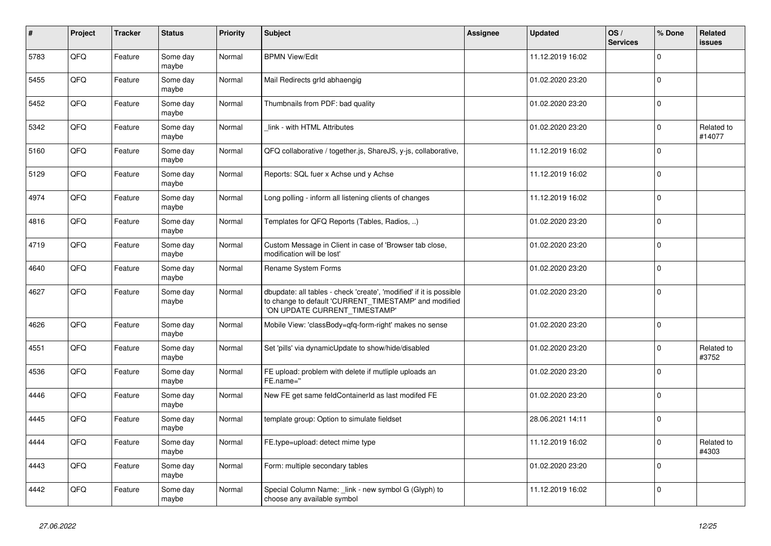| $\sharp$ | Project | <b>Tracker</b> | <b>Status</b>     | <b>Priority</b> | <b>Subject</b>                                                                                                                                                | <b>Assignee</b> | <b>Updated</b>   | OS/<br><b>Services</b> | % Done      | Related<br><b>issues</b> |
|----------|---------|----------------|-------------------|-----------------|---------------------------------------------------------------------------------------------------------------------------------------------------------------|-----------------|------------------|------------------------|-------------|--------------------------|
| 5783     | QFQ     | Feature        | Some day<br>maybe | Normal          | <b>BPMN View/Edit</b>                                                                                                                                         |                 | 11.12.2019 16:02 |                        | $\mathbf 0$ |                          |
| 5455     | QFQ     | Feature        | Some day<br>maybe | Normal          | Mail Redirects grld abhaengig                                                                                                                                 |                 | 01.02.2020 23:20 |                        | $\pmb{0}$   |                          |
| 5452     | QFQ     | Feature        | Some day<br>maybe | Normal          | Thumbnails from PDF: bad quality                                                                                                                              |                 | 01.02.2020 23:20 |                        | $\Omega$    |                          |
| 5342     | QFQ     | Feature        | Some day<br>maybe | Normal          | link - with HTML Attributes                                                                                                                                   |                 | 01.02.2020 23:20 |                        | $\mathbf 0$ | Related to<br>#14077     |
| 5160     | QFQ     | Feature        | Some day<br>maybe | Normal          | QFQ collaborative / together.js, ShareJS, y-js, collaborative,                                                                                                |                 | 11.12.2019 16:02 |                        | $\mathbf 0$ |                          |
| 5129     | QFQ     | Feature        | Some day<br>maybe | Normal          | Reports: SQL fuer x Achse und y Achse                                                                                                                         |                 | 11.12.2019 16:02 |                        | $\Omega$    |                          |
| 4974     | QFQ     | Feature        | Some day<br>maybe | Normal          | Long polling - inform all listening clients of changes                                                                                                        |                 | 11.12.2019 16:02 |                        | $\Omega$    |                          |
| 4816     | QFQ     | Feature        | Some day<br>maybe | Normal          | Templates for QFQ Reports (Tables, Radios, )                                                                                                                  |                 | 01.02.2020 23:20 |                        | $\mathbf 0$ |                          |
| 4719     | QFQ     | Feature        | Some day<br>maybe | Normal          | Custom Message in Client in case of 'Browser tab close,<br>modification will be lost'                                                                         |                 | 01.02.2020 23:20 |                        | $\mathbf 0$ |                          |
| 4640     | QFQ     | Feature        | Some day<br>maybe | Normal          | Rename System Forms                                                                                                                                           |                 | 01.02.2020 23:20 |                        | $\mathbf 0$ |                          |
| 4627     | QFQ     | Feature        | Some day<br>maybe | Normal          | dbupdate: all tables - check 'create', 'modified' if it is possible<br>to change to default 'CURRENT_TIMESTAMP' and modified<br>'ON UPDATE CURRENT_TIMESTAMP' |                 | 01.02.2020 23:20 |                        | $\mathbf 0$ |                          |
| 4626     | QFQ     | Feature        | Some day<br>maybe | Normal          | Mobile View: 'classBody=qfq-form-right' makes no sense                                                                                                        |                 | 01.02.2020 23:20 |                        | $\mathbf 0$ |                          |
| 4551     | QFQ     | Feature        | Some day<br>maybe | Normal          | Set 'pills' via dynamicUpdate to show/hide/disabled                                                                                                           |                 | 01.02.2020 23:20 |                        | $\mathbf 0$ | Related to<br>#3752      |
| 4536     | QFQ     | Feature        | Some day<br>maybe | Normal          | FE upload: problem with delete if mutliple uploads an<br>FE.name="                                                                                            |                 | 01.02.2020 23:20 |                        | $\mathbf 0$ |                          |
| 4446     | QFQ     | Feature        | Some day<br>maybe | Normal          | New FE get same feldContainerId as last modifed FE                                                                                                            |                 | 01.02.2020 23:20 |                        | 0           |                          |
| 4445     | QFQ     | Feature        | Some day<br>maybe | Normal          | template group: Option to simulate fieldset                                                                                                                   |                 | 28.06.2021 14:11 |                        | $\mathbf 0$ |                          |
| 4444     | QFQ     | Feature        | Some day<br>maybe | Normal          | FE.type=upload: detect mime type                                                                                                                              |                 | 11.12.2019 16:02 |                        | $\Omega$    | Related to<br>#4303      |
| 4443     | QFQ     | Feature        | Some day<br>maybe | Normal          | Form: multiple secondary tables                                                                                                                               |                 | 01.02.2020 23:20 |                        | $\mathbf 0$ |                          |
| 4442     | QFQ     | Feature        | Some day<br>maybe | Normal          | Special Column Name: link - new symbol G (Glyph) to<br>choose any available symbol                                                                            |                 | 11.12.2019 16:02 |                        | $\mathbf 0$ |                          |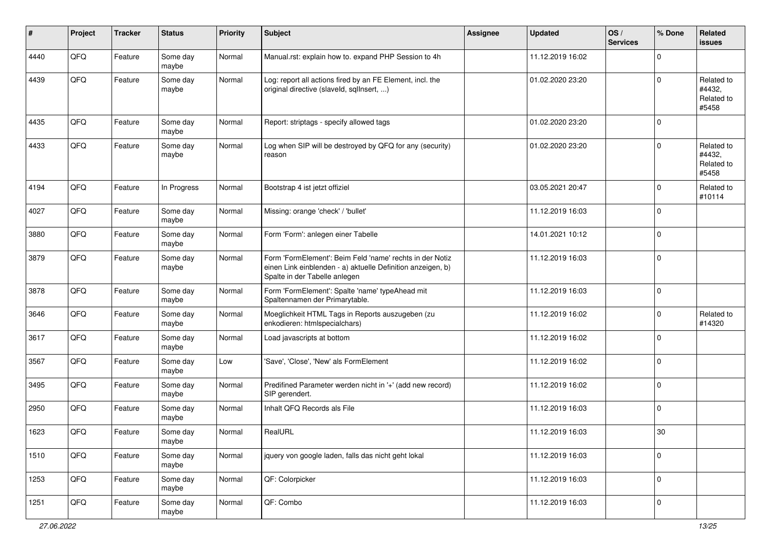| $\sharp$ | Project | <b>Tracker</b> | <b>Status</b>     | <b>Priority</b> | Subject                                                                                                                                                  | <b>Assignee</b> | <b>Updated</b>   | OS/<br><b>Services</b> | % Done      | Related<br><b>issues</b>                    |
|----------|---------|----------------|-------------------|-----------------|----------------------------------------------------------------------------------------------------------------------------------------------------------|-----------------|------------------|------------------------|-------------|---------------------------------------------|
| 4440     | QFQ     | Feature        | Some day<br>maybe | Normal          | Manual.rst: explain how to. expand PHP Session to 4h                                                                                                     |                 | 11.12.2019 16:02 |                        | $\mathbf 0$ |                                             |
| 4439     | QFQ     | Feature        | Some day<br>maybe | Normal          | Log: report all actions fired by an FE Element, incl. the<br>original directive (slaveld, sqllnsert, )                                                   |                 | 01.02.2020 23:20 |                        | $\mathbf 0$ | Related to<br>#4432,<br>Related to<br>#5458 |
| 4435     | QFQ     | Feature        | Some day<br>maybe | Normal          | Report: striptags - specify allowed tags                                                                                                                 |                 | 01.02.2020 23:20 |                        | $\mathbf 0$ |                                             |
| 4433     | QFQ     | Feature        | Some day<br>maybe | Normal          | Log when SIP will be destroyed by QFQ for any (security)<br>reason                                                                                       |                 | 01.02.2020 23:20 |                        | $\mathbf 0$ | Related to<br>#4432,<br>Related to<br>#5458 |
| 4194     | QFQ     | Feature        | In Progress       | Normal          | Bootstrap 4 ist jetzt offiziel                                                                                                                           |                 | 03.05.2021 20:47 |                        | $\mathbf 0$ | Related to<br>#10114                        |
| 4027     | QFQ     | Feature        | Some day<br>maybe | Normal          | Missing: orange 'check' / 'bullet'                                                                                                                       |                 | 11.12.2019 16:03 |                        | 0           |                                             |
| 3880     | QFQ     | Feature        | Some day<br>maybe | Normal          | Form 'Form': anlegen einer Tabelle                                                                                                                       |                 | 14.01.2021 10:12 |                        | 0           |                                             |
| 3879     | QFQ     | Feature        | Some day<br>maybe | Normal          | Form 'FormElement': Beim Feld 'name' rechts in der Notiz<br>einen Link einblenden - a) aktuelle Definition anzeigen, b)<br>Spalte in der Tabelle anlegen |                 | 11.12.2019 16:03 |                        | $\mathbf 0$ |                                             |
| 3878     | QFQ     | Feature        | Some day<br>maybe | Normal          | Form 'FormElement': Spalte 'name' typeAhead mit<br>Spaltennamen der Primarytable.                                                                        |                 | 11.12.2019 16:03 |                        | $\mathbf 0$ |                                             |
| 3646     | QFQ     | Feature        | Some day<br>maybe | Normal          | Moeglichkeit HTML Tags in Reports auszugeben (zu<br>enkodieren: htmlspecialchars)                                                                        |                 | 11.12.2019 16:02 |                        | $\mathbf 0$ | Related to<br>#14320                        |
| 3617     | QFQ     | Feature        | Some day<br>maybe | Normal          | Load javascripts at bottom                                                                                                                               |                 | 11.12.2019 16:02 |                        | $\Omega$    |                                             |
| 3567     | QFQ     | Feature        | Some day<br>maybe | Low             | 'Save', 'Close', 'New' als FormElement                                                                                                                   |                 | 11.12.2019 16:02 |                        | $\mathbf 0$ |                                             |
| 3495     | QFQ     | Feature        | Some day<br>maybe | Normal          | Predifined Parameter werden nicht in '+' (add new record)<br>SIP gerendert.                                                                              |                 | 11.12.2019 16:02 |                        | 0           |                                             |
| 2950     | QFQ     | Feature        | Some day<br>maybe | Normal          | Inhalt QFQ Records als File                                                                                                                              |                 | 11.12.2019 16:03 |                        | 0           |                                             |
| 1623     | QFQ     | Feature        | Some day<br>maybe | Normal          | RealURL                                                                                                                                                  |                 | 11.12.2019 16:03 |                        | 30          |                                             |
| 1510     | QFG     | Feature        | Some day<br>maybe | Normal          | jquery von google laden, falls das nicht geht lokal                                                                                                      |                 | 11.12.2019 16:03 |                        | $\mathbf 0$ |                                             |
| 1253     | QFQ     | Feature        | Some day<br>maybe | Normal          | QF: Colorpicker                                                                                                                                          |                 | 11.12.2019 16:03 |                        | 0           |                                             |
| 1251     | QFG     | Feature        | Some day<br>maybe | Normal          | QF: Combo                                                                                                                                                |                 | 11.12.2019 16:03 |                        | 0           |                                             |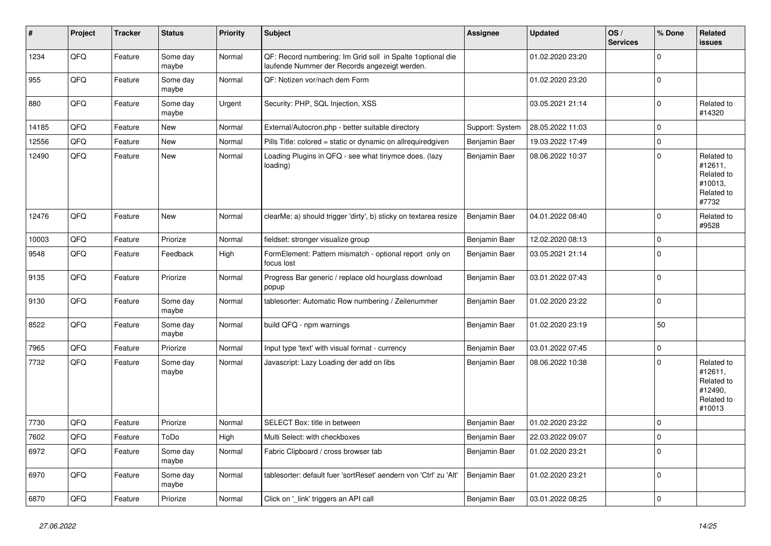| $\vert$ # | <b>Project</b> | <b>Tracker</b> | <b>Status</b>     | <b>Priority</b> | <b>Subject</b>                                                                                               | Assignee        | <b>Updated</b>   | OS/<br><b>Services</b> | % Done      | <b>Related</b><br><b>issues</b>                                        |
|-----------|----------------|----------------|-------------------|-----------------|--------------------------------------------------------------------------------------------------------------|-----------------|------------------|------------------------|-------------|------------------------------------------------------------------------|
| 1234      | QFQ            | Feature        | Some day<br>maybe | Normal          | QF: Record numbering: Im Grid soll in Spalte 1 optional die<br>laufende Nummer der Records angezeigt werden. |                 | 01.02.2020 23:20 |                        | $\mathbf 0$ |                                                                        |
| 955       | QFQ            | Feature        | Some day<br>maybe | Normal          | QF: Notizen vor/nach dem Form                                                                                |                 | 01.02.2020 23:20 |                        | $\mathbf 0$ |                                                                        |
| 880       | QFQ            | Feature        | Some day<br>maybe | Urgent          | Security: PHP, SQL Injection, XSS                                                                            |                 | 03.05.2021 21:14 |                        | $\Omega$    | Related to<br>#14320                                                   |
| 14185     | QFQ            | Feature        | <b>New</b>        | Normal          | External/Autocron.php - better suitable directory                                                            | Support: System | 28.05.2022 11:03 |                        | $\mathbf 0$ |                                                                        |
| 12556     | QFQ            | Feature        | New               | Normal          | Pills Title: colored = static or dynamic on allrequiredgiven                                                 | Benjamin Baer   | 19.03.2022 17:49 |                        | $\mathbf 0$ |                                                                        |
| 12490     | QFQ            | Feature        | New               | Normal          | Loading Plugins in QFQ - see what tinymce does. (lazy<br>loading)                                            | Benjamin Baer   | 08.06.2022 10:37 |                        | $\mathbf 0$ | Related to<br>#12611,<br>Related to<br>#10013,<br>Related to<br>#7732  |
| 12476     | QFQ            | Feature        | New               | Normal          | clearMe: a) should trigger 'dirty', b) sticky on textarea resize                                             | Benjamin Baer   | 04.01.2022 08:40 |                        | $\mathbf 0$ | Related to<br>#9528                                                    |
| 10003     | QFQ            | Feature        | Priorize          | Normal          | fieldset: stronger visualize group                                                                           | Benjamin Baer   | 12.02.2020 08:13 |                        | $\mathbf 0$ |                                                                        |
| 9548      | QFQ            | Feature        | Feedback          | High            | FormElement: Pattern mismatch - optional report only on<br>focus lost                                        | Benjamin Baer   | 03.05.2021 21:14 |                        | $\mathbf 0$ |                                                                        |
| 9135      | QFQ            | Feature        | Priorize          | Normal          | Progress Bar generic / replace old hourglass download<br>popup                                               | Benjamin Baer   | 03.01.2022 07:43 |                        | $\mathbf 0$ |                                                                        |
| 9130      | QFQ            | Feature        | Some day<br>maybe | Normal          | tablesorter: Automatic Row numbering / Zeilenummer                                                           | Benjamin Baer   | 01.02.2020 23:22 |                        | $\mathbf 0$ |                                                                        |
| 8522      | QFQ            | Feature        | Some day<br>maybe | Normal          | build QFQ - npm warnings                                                                                     | Benjamin Baer   | 01.02.2020 23:19 |                        | 50          |                                                                        |
| 7965      | QFQ            | Feature        | Priorize          | Normal          | Input type 'text' with visual format - currency                                                              | Benjamin Baer   | 03.01.2022 07:45 |                        | $\pmb{0}$   |                                                                        |
| 7732      | QFQ            | Feature        | Some day<br>maybe | Normal          | Javascript: Lazy Loading der add on libs                                                                     | Benjamin Baer   | 08.06.2022 10:38 |                        | $\Omega$    | Related to<br>#12611,<br>Related to<br>#12490,<br>Related to<br>#10013 |
| 7730      | QFQ            | Feature        | Priorize          | Normal          | <b>SELECT Box: title in between</b>                                                                          | Benjamin Baer   | 01.02.2020 23:22 |                        | $\mathbf 0$ |                                                                        |
| 7602      | QFQ            | Feature        | ToDo              | High            | Multi Select: with checkboxes                                                                                | Benjamin Baer   | 22.03.2022 09:07 |                        | $\mathbf 0$ |                                                                        |
| 6972      | QFQ            | Feature        | Some day<br>maybe | Normal          | Fabric Clipboard / cross browser tab                                                                         | Benjamin Baer   | 01.02.2020 23:21 |                        | $\mathbf 0$ |                                                                        |
| 6970      | QFQ            | Feature        | Some day<br>maybe | Normal          | tablesorter: default fuer 'sortReset' aendern von 'Ctrl' zu 'Alt'                                            | Benjamin Baer   | 01.02.2020 23:21 |                        | $\Omega$    |                                                                        |
| 6870      | QFQ            | Feature        | Priorize          | Normal          | Click on 'link' triggers an API call                                                                         | Benjamin Baer   | 03.01.2022 08:25 |                        | $\mathbf 0$ |                                                                        |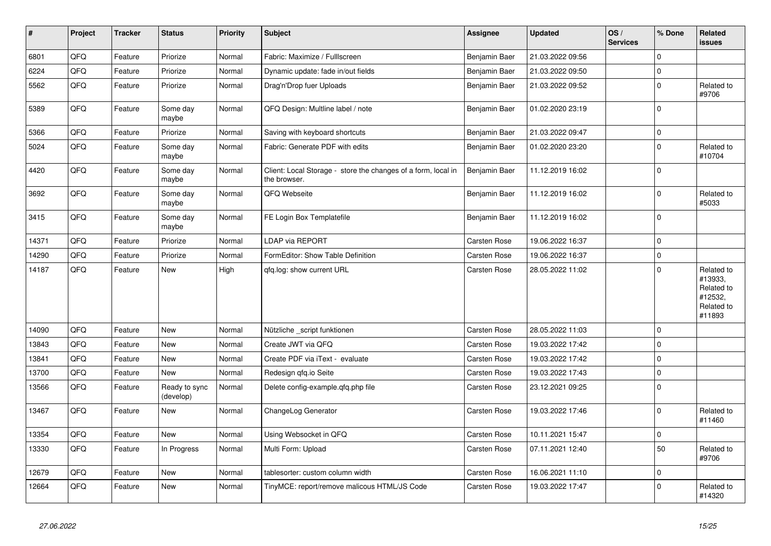| $\vert$ # | Project | <b>Tracker</b> | <b>Status</b>              | Priority | Subject                                                                       | <b>Assignee</b> | <b>Updated</b>   | OS/<br><b>Services</b> | % Done         | Related<br><b>issues</b>                                               |
|-----------|---------|----------------|----------------------------|----------|-------------------------------------------------------------------------------|-----------------|------------------|------------------------|----------------|------------------------------------------------------------------------|
| 6801      | QFQ     | Feature        | Priorize                   | Normal   | Fabric: Maximize / Fulllscreen                                                | Benjamin Baer   | 21.03.2022 09:56 |                        | $\mathbf 0$    |                                                                        |
| 6224      | QFQ     | Feature        | Priorize                   | Normal   | Dynamic update: fade in/out fields                                            | Benjamin Baer   | 21.03.2022 09:50 |                        | $\pmb{0}$      |                                                                        |
| 5562      | QFQ     | Feature        | Priorize                   | Normal   | Drag'n'Drop fuer Uploads                                                      | Benjamin Baer   | 21.03.2022 09:52 |                        | $\mathbf 0$    | Related to<br>#9706                                                    |
| 5389      | QFQ     | Feature        | Some day<br>maybe          | Normal   | QFQ Design: Multline label / note                                             | Benjamin Baer   | 01.02.2020 23:19 |                        | $\mathbf 0$    |                                                                        |
| 5366      | QFQ     | Feature        | Priorize                   | Normal   | Saving with keyboard shortcuts                                                | Benjamin Baer   | 21.03.2022 09:47 |                        | $\mathbf 0$    |                                                                        |
| 5024      | QFQ     | Feature        | Some day<br>maybe          | Normal   | Fabric: Generate PDF with edits                                               | Benjamin Baer   | 01.02.2020 23:20 |                        | $\Omega$       | Related to<br>#10704                                                   |
| 4420      | QFQ     | Feature        | Some day<br>maybe          | Normal   | Client: Local Storage - store the changes of a form, local in<br>the browser. | Benjamin Baer   | 11.12.2019 16:02 |                        | $\mathbf 0$    |                                                                        |
| 3692      | QFQ     | Feature        | Some day<br>maybe          | Normal   | QFQ Webseite                                                                  | Benjamin Baer   | 11.12.2019 16:02 |                        | $\mathbf 0$    | Related to<br>#5033                                                    |
| 3415      | QFQ     | Feature        | Some day<br>maybe          | Normal   | FE Login Box Templatefile                                                     | Benjamin Baer   | 11.12.2019 16:02 |                        | $\mathbf 0$    |                                                                        |
| 14371     | QFQ     | Feature        | Priorize                   | Normal   | LDAP via REPORT                                                               | Carsten Rose    | 19.06.2022 16:37 |                        | $\Omega$       |                                                                        |
| 14290     | QFQ     | Feature        | Priorize                   | Normal   | FormEditor: Show Table Definition                                             | Carsten Rose    | 19.06.2022 16:37 |                        | 0              |                                                                        |
| 14187     | QFQ     | Feature        | New                        | High     | gfg.log: show current URL                                                     | Carsten Rose    | 28.05.2022 11:02 |                        | $\mathbf 0$    | Related to<br>#13933,<br>Related to<br>#12532,<br>Related to<br>#11893 |
| 14090     | QFQ     | Feature        | New                        | Normal   | Nützliche _script funktionen                                                  | Carsten Rose    | 28.05.2022 11:03 |                        | $\mathbf 0$    |                                                                        |
| 13843     | QFQ     | Feature        | New                        | Normal   | Create JWT via QFQ                                                            | Carsten Rose    | 19.03.2022 17:42 |                        | $\overline{0}$ |                                                                        |
| 13841     | QFQ     | Feature        | New                        | Normal   | Create PDF via iText - evaluate                                               | Carsten Rose    | 19.03.2022 17:42 |                        | $\mathbf 0$    |                                                                        |
| 13700     | QFQ     | Feature        | New                        | Normal   | Redesign qfq.io Seite                                                         | Carsten Rose    | 19.03.2022 17:43 |                        | $\pmb{0}$      |                                                                        |
| 13566     | QFQ     | Feature        | Ready to sync<br>(develop) | Normal   | Delete config-example.gfg.php file                                            | Carsten Rose    | 23.12.2021 09:25 |                        | $\mathbf 0$    |                                                                        |
| 13467     | QFQ     | Feature        | <b>New</b>                 | Normal   | ChangeLog Generator                                                           | Carsten Rose    | 19.03.2022 17:46 |                        | $\mathbf 0$    | Related to<br>#11460                                                   |
| 13354     | QFQ     | Feature        | <b>New</b>                 | Normal   | Using Websocket in QFQ                                                        | Carsten Rose    | 10.11.2021 15:47 |                        | $\pmb{0}$      |                                                                        |
| 13330     | QFQ     | Feature        | In Progress                | Normal   | Multi Form: Upload                                                            | Carsten Rose    | 07.11.2021 12:40 |                        | 50             | Related to<br>#9706                                                    |
| 12679     | QFQ     | Feature        | <b>New</b>                 | Normal   | tablesorter: custom column width                                              | Carsten Rose    | 16.06.2021 11:10 |                        | 0              |                                                                        |
| 12664     | QFQ     | Feature        | New                        | Normal   | TinyMCE: report/remove malicous HTML/JS Code                                  | Carsten Rose    | 19.03.2022 17:47 |                        | 0              | Related to<br>#14320                                                   |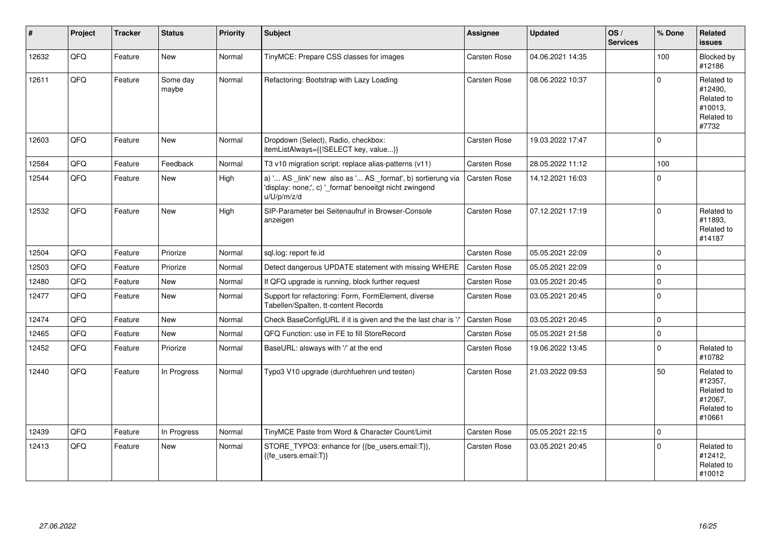| ∦     | Project | <b>Tracker</b> | <b>Status</b>     | <b>Priority</b> | Subject                                                                                                                               | <b>Assignee</b>     | <b>Updated</b>   | OS/<br><b>Services</b> | % Done      | Related<br><b>issues</b>                                               |
|-------|---------|----------------|-------------------|-----------------|---------------------------------------------------------------------------------------------------------------------------------------|---------------------|------------------|------------------------|-------------|------------------------------------------------------------------------|
| 12632 | QFQ     | Feature        | New               | Normal          | TinyMCE: Prepare CSS classes for images                                                                                               | <b>Carsten Rose</b> | 04.06.2021 14:35 |                        | 100         | Blocked by<br>#12186                                                   |
| 12611 | QFQ     | Feature        | Some day<br>maybe | Normal          | Refactoring: Bootstrap with Lazy Loading                                                                                              | Carsten Rose        | 08.06.2022 10:37 |                        | $\Omega$    | Related to<br>#12490,<br>Related to<br>#10013,<br>Related to<br>#7732  |
| 12603 | QFQ     | Feature        | <b>New</b>        | Normal          | Dropdown (Select), Radio, checkbox:<br>itemListAlways={{!SELECT key, value}}                                                          | Carsten Rose        | 19.03.2022 17:47 |                        | $\mathbf 0$ |                                                                        |
| 12584 | QFQ     | Feature        | Feedback          | Normal          | T3 v10 migration script: replace alias-patterns (v11)                                                                                 | Carsten Rose        | 28.05.2022 11:12 |                        | 100         |                                                                        |
| 12544 | QFQ     | Feature        | New               | High            | a) ' AS _link' new also as ' AS _format', b) sortierung via<br>'display: none;', c) '_format' benoeitgt nicht zwingend<br>u/U/p/m/z/d | <b>Carsten Rose</b> | 14.12.2021 16:03 |                        | $\Omega$    |                                                                        |
| 12532 | QFQ     | Feature        | New               | High            | SIP-Parameter bei Seitenaufruf in Browser-Console<br>anzeigen                                                                         | Carsten Rose        | 07.12.2021 17:19 |                        | $\mathbf 0$ | Related to<br>#11893,<br>Related to<br>#14187                          |
| 12504 | QFQ     | Feature        | Priorize          | Normal          | sql.log: report fe.id                                                                                                                 | Carsten Rose        | 05.05.2021 22:09 |                        | $\Omega$    |                                                                        |
| 12503 | QFQ     | Feature        | Priorize          | Normal          | Detect dangerous UPDATE statement with missing WHERE                                                                                  | <b>Carsten Rose</b> | 05.05.2021 22:09 |                        | $\Omega$    |                                                                        |
| 12480 | QFQ     | Feature        | <b>New</b>        | Normal          | If QFQ upgrade is running, block further request                                                                                      | Carsten Rose        | 03.05.2021 20:45 |                        | $\mathbf 0$ |                                                                        |
| 12477 | QFQ     | Feature        | New               | Normal          | Support for refactoring: Form, FormElement, diverse<br>Tabellen/Spalten, tt-content Records                                           | Carsten Rose        | 03.05.2021 20:45 |                        | $\mathbf 0$ |                                                                        |
| 12474 | QFQ     | Feature        | New               | Normal          | Check BaseConfigURL if it is given and the the last char is '/                                                                        | Carsten Rose        | 03.05.2021 20:45 |                        | $\mathbf 0$ |                                                                        |
| 12465 | QFQ     | Feature        | New               | Normal          | QFQ Function: use in FE to fill StoreRecord                                                                                           | Carsten Rose        | 05.05.2021 21:58 |                        | $\Omega$    |                                                                        |
| 12452 | QFQ     | Feature        | Priorize          | Normal          | BaseURL: alsways with '/' at the end                                                                                                  | Carsten Rose        | 19.06.2022 13:45 |                        | $\Omega$    | Related to<br>#10782                                                   |
| 12440 | QFQ     | Feature        | In Progress       | Normal          | Typo3 V10 upgrade (durchfuehren und testen)                                                                                           | Carsten Rose        | 21.03.2022 09:53 |                        | 50          | Related to<br>#12357,<br>Related to<br>#12067,<br>Related to<br>#10661 |
| 12439 | QFQ     | Feature        | In Progress       | Normal          | TinyMCE Paste from Word & Character Count/Limit                                                                                       | Carsten Rose        | 05.05.2021 22:15 |                        | $\mathbf 0$ |                                                                        |
| 12413 | QFQ     | Feature        | New               | Normal          | STORE_TYPO3: enhance for {{be_users.email:T}},<br>{{fe_users.email:T}}                                                                | Carsten Rose        | 03.05.2021 20:45 |                        | $\Omega$    | Related to<br>#12412,<br>Related to<br>#10012                          |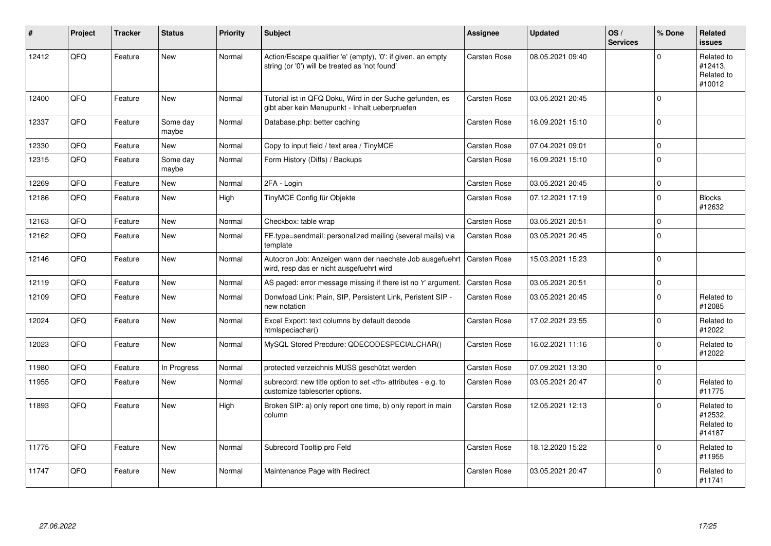| ∦     | Project | <b>Tracker</b> | <b>Status</b>     | <b>Priority</b> | <b>Subject</b>                                                                                                      | <b>Assignee</b>                                        | <b>Updated</b>   | OS/<br><b>Services</b> | % Done              | Related<br><b>issues</b>                      |                      |
|-------|---------|----------------|-------------------|-----------------|---------------------------------------------------------------------------------------------------------------------|--------------------------------------------------------|------------------|------------------------|---------------------|-----------------------------------------------|----------------------|
| 12412 | QFQ     | Feature        | <b>New</b>        | Normal          | Action/Escape qualifier 'e' (empty), '0': if given, an empty<br>string (or '0') will be treated as 'not found'      | Carsten Rose                                           | 08.05.2021 09:40 |                        | $\mathbf{0}$        | Related to<br>#12413,<br>Related to<br>#10012 |                      |
| 12400 | QFQ     | Feature        | <b>New</b>        | Normal          | Tutorial ist in QFQ Doku, Wird in der Suche gefunden, es<br>gibt aber kein Menupunkt - Inhalt ueberpruefen          | Carsten Rose                                           | 03.05.2021 20:45 |                        | $\mathbf 0$         |                                               |                      |
| 12337 | QFQ     | Feature        | Some day<br>maybe | Normal          | Database.php: better caching                                                                                        | Carsten Rose                                           | 16.09.2021 15:10 |                        | $\mathbf 0$         |                                               |                      |
| 12330 | QFQ     | Feature        | <b>New</b>        | Normal          | Copy to input field / text area / TinyMCE                                                                           | Carsten Rose                                           | 07.04.2021 09:01 |                        | $\mathsf{O}\xspace$ |                                               |                      |
| 12315 | QFQ     | Feature        | Some day<br>maybe | Normal          | Form History (Diffs) / Backups                                                                                      | Carsten Rose                                           | 16.09.2021 15:10 |                        | $\mathbf 0$         |                                               |                      |
| 12269 | QFQ     | Feature        | <b>New</b>        | Normal          | 2FA - Login                                                                                                         | Carsten Rose                                           | 03.05.2021 20:45 |                        | $\mathsf{O}\xspace$ |                                               |                      |
| 12186 | QFQ     | Feature        | <b>New</b>        | High            | TinyMCE Config für Objekte                                                                                          | Carsten Rose                                           | 07.12.2021 17:19 |                        | $\Omega$            | <b>Blocks</b><br>#12632                       |                      |
| 12163 | QFQ     | Feature        | <b>New</b>        | Normal          | Checkbox: table wrap                                                                                                | Carsten Rose                                           | 03.05.2021 20:51 |                        | $\mathbf 0$         |                                               |                      |
| 12162 | QFQ     | Feature        | <b>New</b>        | Normal          | FE.type=sendmail: personalized mailing (several mails) via<br>template                                              | Carsten Rose                                           | 03.05.2021 20:45 |                        | $\mathbf 0$         |                                               |                      |
| 12146 | QFQ     | Feature        | <b>New</b>        | Normal          | Autocron Job: Anzeigen wann der naechste Job ausgefuehrt   Carsten Rose<br>wird, resp das er nicht ausgefuehrt wird |                                                        | 15.03.2021 15:23 |                        | $\mathbf 0$         |                                               |                      |
| 12119 | QFQ     | Feature        | <b>New</b>        | Normal          | AS paged: error message missing if there ist no 'r' argument.                                                       | Carsten Rose                                           | 03.05.2021 20:51 |                        | $\pmb{0}$           |                                               |                      |
| 12109 | QFQ     | Feature        | <b>New</b>        | Normal          | Donwload Link: Plain, SIP, Persistent Link, Peristent SIP -<br>new notation                                         | Carsten Rose                                           | 03.05.2021 20:45 |                        | $\Omega$            | Related to<br>#12085                          |                      |
| 12024 | QFQ     | Feature        | New               | Normal          | Excel Export: text columns by default decode<br>htmlspeciachar()                                                    | Carsten Rose                                           | 17.02.2021 23:55 |                        | $\mathbf 0$         | Related to<br>#12022                          |                      |
| 12023 | QFQ     | Feature        | <b>New</b>        | Normal          | MySQL Stored Precdure: QDECODESPECIALCHAR()                                                                         | Carsten Rose                                           | 16.02.2021 11:16 |                        | $\mathbf 0$         | Related to<br>#12022                          |                      |
| 11980 | QFQ     | Feature        | In Progress       | Normal          | protected verzeichnis MUSS geschützt werden                                                                         | Carsten Rose                                           | 07.09.2021 13:30 |                        | $\mathbf 0$         |                                               |                      |
| 11955 | QFQ     | Feature        | <b>New</b>        | Normal          | subrecord: new title option to set <th> attributes - e.g. to<br/>customize tablesorter options.</th>                | attributes - e.g. to<br>customize tablesorter options. | Carsten Rose     | 03.05.2021 20:47       |                     | $\mathbf 0$                                   | Related to<br>#11775 |
| 11893 | QFQ     | Feature        | <b>New</b>        | High            | Broken SIP: a) only report one time, b) only report in main<br>column                                               | Carsten Rose                                           | 12.05.2021 12:13 |                        | $\mathbf 0$         | Related to<br>#12532,<br>Related to<br>#14187 |                      |
| 11775 | QFQ     | Feature        | <b>New</b>        | Normal          | Subrecord Tooltip pro Feld                                                                                          | Carsten Rose                                           | 18.12.2020 15:22 |                        | $\mathbf 0$         | Related to<br>#11955                          |                      |
| 11747 | QFQ     | Feature        | <b>New</b>        | Normal          | Maintenance Page with Redirect                                                                                      | Carsten Rose                                           | 03.05.2021 20:47 |                        | $\mathbf 0$         | Related to<br>#11741                          |                      |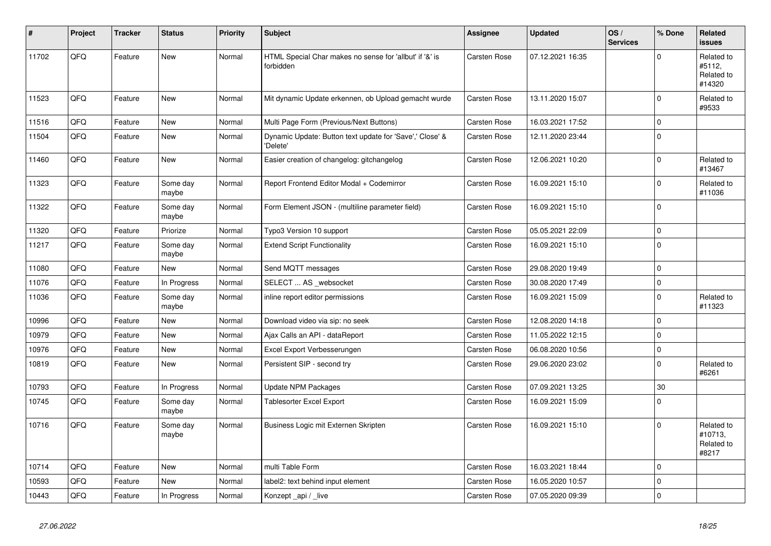| #     | Project | <b>Tracker</b> | <b>Status</b>     | <b>Priority</b> | <b>Subject</b>                                                       | <b>Assignee</b>     | <b>Updated</b>   | OS/<br><b>Services</b> | % Done      | Related<br>issues                            |
|-------|---------|----------------|-------------------|-----------------|----------------------------------------------------------------------|---------------------|------------------|------------------------|-------------|----------------------------------------------|
| 11702 | QFQ     | Feature        | <b>New</b>        | Normal          | HTML Special Char makes no sense for 'allbut' if '&' is<br>forbidden | Carsten Rose        | 07.12.2021 16:35 |                        | $\Omega$    | Related to<br>#5112,<br>Related to<br>#14320 |
| 11523 | QFQ     | Feature        | <b>New</b>        | Normal          | Mit dynamic Update erkennen, ob Upload gemacht wurde                 | Carsten Rose        | 13.11.2020 15:07 |                        | $\Omega$    | Related to<br>#9533                          |
| 11516 | QFQ     | Feature        | <b>New</b>        | Normal          | Multi Page Form (Previous/Next Buttons)                              | Carsten Rose        | 16.03.2021 17:52 |                        | $\mathbf 0$ |                                              |
| 11504 | QFQ     | Feature        | New               | Normal          | Dynamic Update: Button text update for 'Save',' Close' &<br>'Delete' | Carsten Rose        | 12.11.2020 23:44 |                        | $\Omega$    |                                              |
| 11460 | QFQ     | Feature        | <b>New</b>        | Normal          | Easier creation of changelog: gitchangelog                           | Carsten Rose        | 12.06.2021 10:20 |                        | $\Omega$    | Related to<br>#13467                         |
| 11323 | QFQ     | Feature        | Some day<br>maybe | Normal          | Report Frontend Editor Modal + Codemirror                            | Carsten Rose        | 16.09.2021 15:10 |                        | $\Omega$    | Related to<br>#11036                         |
| 11322 | QFQ     | Feature        | Some day<br>maybe | Normal          | Form Element JSON - (multiline parameter field)                      | Carsten Rose        | 16.09.2021 15:10 |                        | $\mathbf 0$ |                                              |
| 11320 | QFQ     | Feature        | Priorize          | Normal          | Typo3 Version 10 support                                             | Carsten Rose        | 05.05.2021 22:09 |                        | $\mathbf 0$ |                                              |
| 11217 | QFQ     | Feature        | Some day<br>maybe | Normal          | <b>Extend Script Functionality</b>                                   | Carsten Rose        | 16.09.2021 15:10 |                        | $\mathbf 0$ |                                              |
| 11080 | QFQ     | Feature        | <b>New</b>        | Normal          | Send MQTT messages                                                   | Carsten Rose        | 29.08.2020 19:49 |                        | $\Omega$    |                                              |
| 11076 | QFQ     | Feature        | In Progress       | Normal          | SELECT  AS _websocket                                                | Carsten Rose        | 30.08.2020 17:49 |                        | $\mathbf 0$ |                                              |
| 11036 | QFQ     | Feature        | Some day<br>maybe | Normal          | inline report editor permissions                                     | Carsten Rose        | 16.09.2021 15:09 |                        | $\mathbf 0$ | Related to<br>#11323                         |
| 10996 | QFQ     | Feature        | <b>New</b>        | Normal          | Download video via sip: no seek                                      | Carsten Rose        | 12.08.2020 14:18 |                        | $\Omega$    |                                              |
| 10979 | QFQ     | Feature        | <b>New</b>        | Normal          | Ajax Calls an API - dataReport                                       | Carsten Rose        | 11.05.2022 12:15 |                        | $\Omega$    |                                              |
| 10976 | QFQ     | Feature        | <b>New</b>        | Normal          | Excel Export Verbesserungen                                          | Carsten Rose        | 06.08.2020 10:56 |                        | $\mathbf 0$ |                                              |
| 10819 | QFQ     | Feature        | <b>New</b>        | Normal          | Persistent SIP - second try                                          | Carsten Rose        | 29.06.2020 23:02 |                        | $\Omega$    | Related to<br>#6261                          |
| 10793 | QFQ     | Feature        | In Progress       | Normal          | <b>Update NPM Packages</b>                                           | Carsten Rose        | 07.09.2021 13:25 |                        | 30          |                                              |
| 10745 | QFQ     | Feature        | Some day<br>maybe | Normal          | <b>Tablesorter Excel Export</b>                                      | Carsten Rose        | 16.09.2021 15:09 |                        | $\Omega$    |                                              |
| 10716 | QFQ     | Feature        | Some day<br>maybe | Normal          | Business Logic mit Externen Skripten                                 | Carsten Rose        | 16.09.2021 15:10 |                        | $\Omega$    | Related to<br>#10713,<br>Related to<br>#8217 |
| 10714 | QFQ     | Feature        | <b>New</b>        | Normal          | multi Table Form                                                     | Carsten Rose        | 16.03.2021 18:44 |                        | $\Omega$    |                                              |
| 10593 | QFQ     | Feature        | <b>New</b>        | Normal          | label2: text behind input element                                    | <b>Carsten Rose</b> | 16.05.2020 10:57 |                        | $\mathbf 0$ |                                              |
| 10443 | QFQ     | Feature        | In Progress       | Normal          | Konzept_api / _live                                                  | Carsten Rose        | 07.05.2020 09:39 |                        | $\mathbf 0$ |                                              |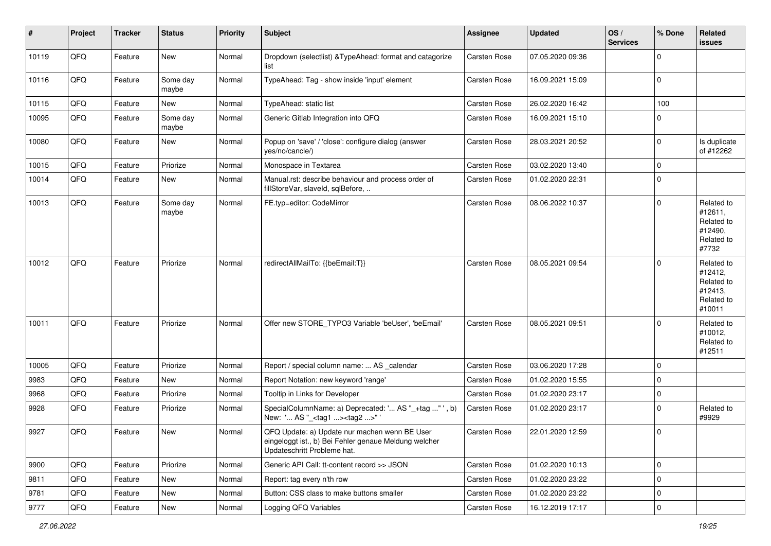| $\sharp$ | Project | <b>Tracker</b> | <b>Status</b>     | <b>Priority</b> | <b>Subject</b>                                                                                                                        | <b>Assignee</b> | <b>Updated</b>   | OS/<br><b>Services</b> | % Done      | Related<br>issues                                                      |
|----------|---------|----------------|-------------------|-----------------|---------------------------------------------------------------------------------------------------------------------------------------|-----------------|------------------|------------------------|-------------|------------------------------------------------------------------------|
| 10119    | QFQ     | Feature        | <b>New</b>        | Normal          | Dropdown (selectlist) & TypeAhead: format and catagorize<br>list                                                                      | Carsten Rose    | 07.05.2020 09:36 |                        | $\Omega$    |                                                                        |
| 10116    | QFQ     | Feature        | Some day<br>maybe | Normal          | TypeAhead: Tag - show inside 'input' element                                                                                          | Carsten Rose    | 16.09.2021 15:09 |                        | $\mathbf 0$ |                                                                        |
| 10115    | QFQ     | Feature        | New               | Normal          | TypeAhead: static list                                                                                                                | Carsten Rose    | 26.02.2020 16:42 |                        | 100         |                                                                        |
| 10095    | QFQ     | Feature        | Some day<br>maybe | Normal          | Generic Gitlab Integration into QFQ                                                                                                   | Carsten Rose    | 16.09.2021 15:10 |                        | $\Omega$    |                                                                        |
| 10080    | QFQ     | Feature        | New               | Normal          | Popup on 'save' / 'close': configure dialog (answer<br>yes/no/cancle/)                                                                | Carsten Rose    | 28.03.2021 20:52 |                        | $\Omega$    | Is duplicate<br>of #12262                                              |
| 10015    | QFQ     | Feature        | Priorize          | Normal          | Monospace in Textarea                                                                                                                 | Carsten Rose    | 03.02.2020 13:40 |                        | $\mathbf 0$ |                                                                        |
| 10014    | QFQ     | Feature        | New               | Normal          | Manual.rst: describe behaviour and process order of<br>fillStoreVar, slaveId, sqlBefore,                                              | Carsten Rose    | 01.02.2020 22:31 |                        | $\mathbf 0$ |                                                                        |
| 10013    | QFQ     | Feature        | Some day<br>maybe | Normal          | FE.typ=editor: CodeMirror                                                                                                             | Carsten Rose    | 08.06.2022 10:37 |                        | $\mathbf 0$ | Related to<br>#12611,<br>Related to<br>#12490,<br>Related to<br>#7732  |
| 10012    | QFQ     | Feature        | Priorize          | Normal          | redirectAllMailTo: {{beEmail:T}}                                                                                                      | Carsten Rose    | 08.05.2021 09:54 |                        | $\Omega$    | Related to<br>#12412,<br>Related to<br>#12413,<br>Related to<br>#10011 |
| 10011    | QFQ     | Feature        | Priorize          | Normal          | Offer new STORE_TYPO3 Variable 'beUser', 'beEmail'                                                                                    | Carsten Rose    | 08.05.2021 09:51 |                        | $\Omega$    | Related to<br>#10012,<br>Related to<br>#12511                          |
| 10005    | QFQ     | Feature        | Priorize          | Normal          | Report / special column name:  AS _calendar                                                                                           | Carsten Rose    | 03.06.2020 17:28 |                        | $\mathbf 0$ |                                                                        |
| 9983     | QFQ     | Feature        | New               | Normal          | Report Notation: new keyword 'range'                                                                                                  | Carsten Rose    | 01.02.2020 15:55 |                        | $\mathbf 0$ |                                                                        |
| 9968     | QFQ     | Feature        | Priorize          | Normal          | Tooltip in Links for Developer                                                                                                        | Carsten Rose    | 01.02.2020 23:17 |                        | $\mathbf 0$ |                                                                        |
| 9928     | QFQ     | Feature        | Priorize          | Normal          | SpecialColumnName: a) Deprecated: ' AS "_+tag " ', b)<br>New: ' AS "_ <tag1><tag2>"'</tag2></tag1>                                    | Carsten Rose    | 01.02.2020 23:17 |                        | $\mathbf 0$ | Related to<br>#9929                                                    |
| 9927     | QFQ     | Feature        | New               | Normal          | QFQ Update: a) Update nur machen wenn BE User<br>eingeloggt ist., b) Bei Fehler genaue Meldung welcher<br>Updateschritt Probleme hat. | Carsten Rose    | 22.01.2020 12:59 |                        | l 0         |                                                                        |
| 9900     | QFQ     | Feature        | Priorize          | Normal          | Generic API Call: tt-content record >> JSON                                                                                           | Carsten Rose    | 01.02.2020 10:13 |                        | 0           |                                                                        |
| 9811     | QFQ     | Feature        | New               | Normal          | Report: tag every n'th row                                                                                                            | Carsten Rose    | 01.02.2020 23:22 |                        | $\mathbf 0$ |                                                                        |
| 9781     | QFQ     | Feature        | New               | Normal          | Button: CSS class to make buttons smaller                                                                                             | Carsten Rose    | 01.02.2020 23:22 |                        | $\mathbf 0$ |                                                                        |
| 9777     | QFQ     | Feature        | New               | Normal          | Logging QFQ Variables                                                                                                                 | Carsten Rose    | 16.12.2019 17:17 |                        | $\mathbf 0$ |                                                                        |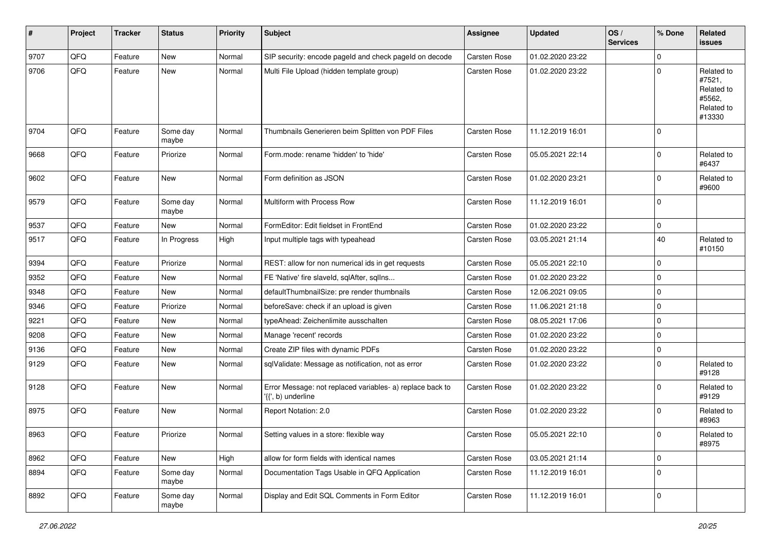| #    | Project | <b>Tracker</b> | <b>Status</b>     | <b>Priority</b> | <b>Subject</b>                                                                  | <b>Assignee</b>     | <b>Updated</b>   | OS/<br><b>Services</b> | % Done              | Related<br><b>issues</b>                                             |
|------|---------|----------------|-------------------|-----------------|---------------------------------------------------------------------------------|---------------------|------------------|------------------------|---------------------|----------------------------------------------------------------------|
| 9707 | QFQ     | Feature        | <b>New</b>        | Normal          | SIP security: encode pageId and check pageId on decode                          | Carsten Rose        | 01.02.2020 23:22 |                        | $\mathbf 0$         |                                                                      |
| 9706 | QFQ     | Feature        | <b>New</b>        | Normal          | Multi File Upload (hidden template group)                                       | Carsten Rose        | 01.02.2020 23:22 |                        | $\mathbf 0$         | Related to<br>#7521,<br>Related to<br>#5562.<br>Related to<br>#13330 |
| 9704 | QFQ     | Feature        | Some day<br>maybe | Normal          | Thumbnails Generieren beim Splitten von PDF Files                               | Carsten Rose        | 11.12.2019 16:01 |                        | $\mathbf 0$         |                                                                      |
| 9668 | QFQ     | Feature        | Priorize          | Normal          | Form.mode: rename 'hidden' to 'hide'                                            | Carsten Rose        | 05.05.2021 22:14 |                        | $\mathbf 0$         | Related to<br>#6437                                                  |
| 9602 | QFQ     | Feature        | New               | Normal          | Form definition as JSON                                                         | <b>Carsten Rose</b> | 01.02.2020 23:21 |                        | $\mathbf 0$         | Related to<br>#9600                                                  |
| 9579 | QFQ     | Feature        | Some day<br>maybe | Normal          | Multiform with Process Row                                                      | <b>Carsten Rose</b> | 11.12.2019 16:01 |                        | $\mathbf 0$         |                                                                      |
| 9537 | QFQ     | Feature        | <b>New</b>        | Normal          | FormEditor: Edit fieldset in FrontEnd                                           | Carsten Rose        | 01.02.2020 23:22 |                        | $\mathbf 0$         |                                                                      |
| 9517 | QFQ     | Feature        | In Progress       | High            | Input multiple tags with typeahead                                              | Carsten Rose        | 03.05.2021 21:14 |                        | 40                  | Related to<br>#10150                                                 |
| 9394 | QFQ     | Feature        | Priorize          | Normal          | REST: allow for non numerical ids in get requests                               | Carsten Rose        | 05.05.2021 22:10 |                        | $\mathbf 0$         |                                                                      |
| 9352 | QFQ     | Feature        | <b>New</b>        | Normal          | FE 'Native' fire slaveld, sqlAfter, sqlIns                                      | Carsten Rose        | 01.02.2020 23:22 |                        | $\mathbf 0$         |                                                                      |
| 9348 | QFQ     | Feature        | New               | Normal          | defaultThumbnailSize: pre render thumbnails                                     | <b>Carsten Rose</b> | 12.06.2021 09:05 |                        | $\mathbf 0$         |                                                                      |
| 9346 | QFQ     | Feature        | Priorize          | Normal          | beforeSave: check if an upload is given                                         | Carsten Rose        | 11.06.2021 21:18 |                        | $\mathbf 0$         |                                                                      |
| 9221 | QFQ     | Feature        | <b>New</b>        | Normal          | typeAhead: Zeichenlimite ausschalten                                            | Carsten Rose        | 08.05.2021 17:06 |                        | $\mathbf 0$         |                                                                      |
| 9208 | QFQ     | Feature        | <b>New</b>        | Normal          | Manage 'recent' records                                                         | Carsten Rose        | 01.02.2020 23:22 |                        | $\mathbf 0$         |                                                                      |
| 9136 | QFQ     | Feature        | <b>New</b>        | Normal          | Create ZIP files with dynamic PDFs                                              | Carsten Rose        | 01.02.2020 23:22 |                        | $\mathbf 0$         |                                                                      |
| 9129 | QFQ     | Feature        | <b>New</b>        | Normal          | sqlValidate: Message as notification, not as error                              | Carsten Rose        | 01.02.2020 23:22 |                        | $\mathbf 0$         | Related to<br>#9128                                                  |
| 9128 | QFQ     | Feature        | <b>New</b>        | Normal          | Error Message: not replaced variables- a) replace back to<br>'{{', b) underline | Carsten Rose        | 01.02.2020 23:22 |                        | $\mathbf 0$         | Related to<br>#9129                                                  |
| 8975 | QFQ     | Feature        | <b>New</b>        | Normal          | Report Notation: 2.0                                                            | Carsten Rose        | 01.02.2020 23:22 |                        | $\mathbf 0$         | Related to<br>#8963                                                  |
| 8963 | QFQ     | Feature        | Priorize          | Normal          | Setting values in a store: flexible way                                         | Carsten Rose        | 05.05.2021 22:10 |                        | $\pmb{0}$           | Related to<br>#8975                                                  |
| 8962 | QFQ     | Feature        | New               | High            | allow for form fields with identical names                                      | Carsten Rose        | 03.05.2021 21:14 |                        | $\mathsf{O}\xspace$ |                                                                      |
| 8894 | QFQ     | Feature        | Some day<br>maybe | Normal          | Documentation Tags Usable in QFQ Application                                    | <b>Carsten Rose</b> | 11.12.2019 16:01 |                        | $\mathbf 0$         |                                                                      |
| 8892 | QFQ     | Feature        | Some day<br>maybe | Normal          | Display and Edit SQL Comments in Form Editor                                    | Carsten Rose        | 11.12.2019 16:01 |                        | $\mathbf 0$         |                                                                      |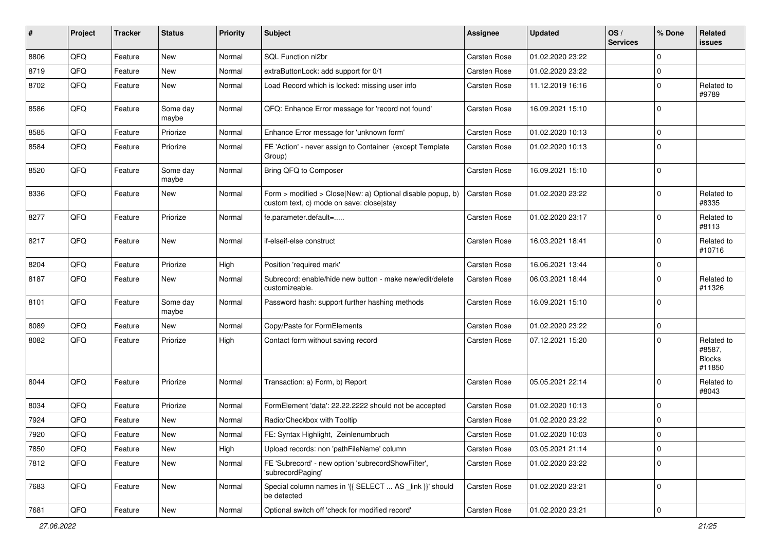| $\sharp$ | Project | <b>Tracker</b> | <b>Status</b>     | <b>Priority</b> | <b>Subject</b>                                                                                         | Assignee     | <b>Updated</b>   | OS/<br><b>Services</b> | % Done      | Related<br>issues                               |
|----------|---------|----------------|-------------------|-----------------|--------------------------------------------------------------------------------------------------------|--------------|------------------|------------------------|-------------|-------------------------------------------------|
| 8806     | QFQ     | Feature        | <b>New</b>        | Normal          | SQL Function nl2br                                                                                     | Carsten Rose | 01.02.2020 23:22 |                        | $\Omega$    |                                                 |
| 8719     | QFQ     | Feature        | <b>New</b>        | Normal          | extraButtonLock: add support for 0/1                                                                   | Carsten Rose | 01.02.2020 23:22 |                        | $\mathbf 0$ |                                                 |
| 8702     | QFQ     | Feature        | New               | Normal          | Load Record which is locked: missing user info                                                         | Carsten Rose | 11.12.2019 16:16 |                        | $\Omega$    | Related to<br>#9789                             |
| 8586     | QFQ     | Feature        | Some day<br>maybe | Normal          | QFQ: Enhance Error message for 'record not found'                                                      | Carsten Rose | 16.09.2021 15:10 |                        | $\Omega$    |                                                 |
| 8585     | QFQ     | Feature        | Priorize          | Normal          | Enhance Error message for 'unknown form'                                                               | Carsten Rose | 01.02.2020 10:13 |                        | $\mathbf 0$ |                                                 |
| 8584     | QFQ     | Feature        | Priorize          | Normal          | FE 'Action' - never assign to Container (except Template<br>Group)                                     | Carsten Rose | 01.02.2020 10:13 |                        | $\Omega$    |                                                 |
| 8520     | QFQ     | Feature        | Some day<br>maybe | Normal          | Bring QFQ to Composer                                                                                  | Carsten Rose | 16.09.2021 15:10 |                        | $\mathbf 0$ |                                                 |
| 8336     | QFQ     | Feature        | <b>New</b>        | Normal          | Form > modified > Close New: a) Optional disable popup, b)<br>custom text, c) mode on save: close stay | Carsten Rose | 01.02.2020 23:22 |                        | $\mathbf 0$ | Related to<br>#8335                             |
| 8277     | QFQ     | Feature        | Priorize          | Normal          | fe.parameter.default=                                                                                  | Carsten Rose | 01.02.2020 23:17 |                        | $\Omega$    | Related to<br>#8113                             |
| 8217     | QFQ     | Feature        | <b>New</b>        | Normal          | if-elseif-else construct                                                                               | Carsten Rose | 16.03.2021 18:41 |                        | $\Omega$    | Related to<br>#10716                            |
| 8204     | QFQ     | Feature        | Priorize          | High            | Position 'required mark'                                                                               | Carsten Rose | 16.06.2021 13:44 |                        | $\mathbf 0$ |                                                 |
| 8187     | QFQ     | Feature        | New               | Normal          | Subrecord: enable/hide new button - make new/edit/delete<br>customizeable.                             | Carsten Rose | 06.03.2021 18:44 |                        | $\Omega$    | Related to<br>#11326                            |
| 8101     | QFQ     | Feature        | Some day<br>maybe | Normal          | Password hash: support further hashing methods                                                         | Carsten Rose | 16.09.2021 15:10 |                        | $\Omega$    |                                                 |
| 8089     | QFQ     | Feature        | <b>New</b>        | Normal          | Copy/Paste for FormElements                                                                            | Carsten Rose | 01.02.2020 23:22 |                        | $\mathbf 0$ |                                                 |
| 8082     | QFQ     | Feature        | Priorize          | High            | Contact form without saving record                                                                     | Carsten Rose | 07.12.2021 15:20 |                        | $\Omega$    | Related to<br>#8587,<br><b>Blocks</b><br>#11850 |
| 8044     | QFQ     | Feature        | Priorize          | Normal          | Transaction: a) Form, b) Report                                                                        | Carsten Rose | 05.05.2021 22:14 |                        | $\Omega$    | Related to<br>#8043                             |
| 8034     | QFQ     | Feature        | Priorize          | Normal          | FormElement 'data': 22.22.2222 should not be accepted                                                  | Carsten Rose | 01.02.2020 10:13 |                        | $\Omega$    |                                                 |
| 7924     | QFQ     | Feature        | New               | Normal          | Radio/Checkbox with Tooltip                                                                            | Carsten Rose | 01.02.2020 23:22 |                        | $\mathbf 0$ |                                                 |
| 7920     | QFG     | Feature        | New               | Normal          | FE: Syntax Highlight, Zeinlenumbruch                                                                   | Carsten Rose | 01.02.2020 10:03 |                        | l 0         |                                                 |
| 7850     | QFQ     | Feature        | New               | High            | Upload records: non 'pathFileName' column                                                              | Carsten Rose | 03.05.2021 21:14 |                        | $\mathbf 0$ |                                                 |
| 7812     | QFQ     | Feature        | New               | Normal          | FE 'Subrecord' - new option 'subrecordShowFilter',<br>'subrecordPaging'                                | Carsten Rose | 01.02.2020 23:22 |                        | l 0         |                                                 |
| 7683     | QFQ     | Feature        | New               | Normal          | Special column names in '{{ SELECT  AS _link }}' should<br>be detected                                 | Carsten Rose | 01.02.2020 23:21 |                        | $\mathbf 0$ |                                                 |
| 7681     | QFQ     | Feature        | New               | Normal          | Optional switch off 'check for modified record'                                                        | Carsten Rose | 01.02.2020 23:21 |                        | $\mathbf 0$ |                                                 |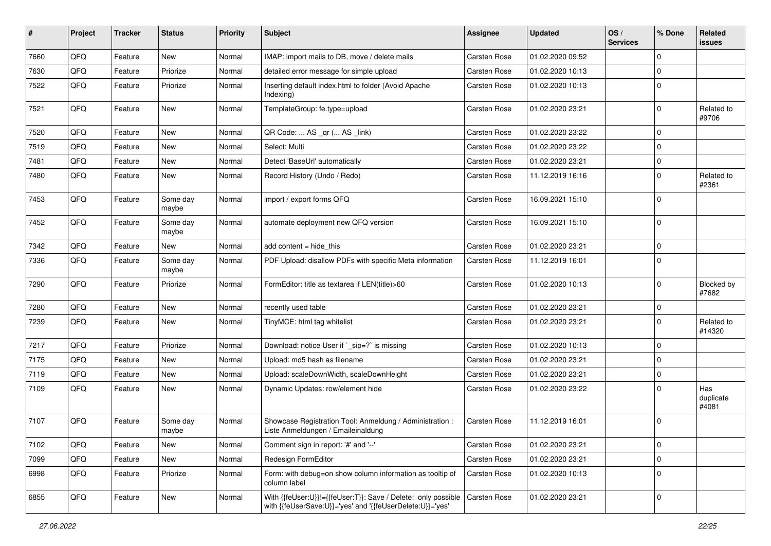| $\sharp$ | Project | <b>Tracker</b> | <b>Status</b>     | <b>Priority</b> | Subject                                                                                                                    | <b>Assignee</b>     | <b>Updated</b>   | OS/<br><b>Services</b> | % Done         | Related<br>issues         |
|----------|---------|----------------|-------------------|-----------------|----------------------------------------------------------------------------------------------------------------------------|---------------------|------------------|------------------------|----------------|---------------------------|
| 7660     | QFQ     | Feature        | <b>New</b>        | Normal          | IMAP: import mails to DB, move / delete mails                                                                              | <b>Carsten Rose</b> | 01.02.2020 09:52 |                        | $\mathbf 0$    |                           |
| 7630     | QFQ     | Feature        | Priorize          | Normal          | detailed error message for simple upload                                                                                   | Carsten Rose        | 01.02.2020 10:13 |                        | 0              |                           |
| 7522     | QFQ     | Feature        | Priorize          | Normal          | Inserting default index.html to folder (Avoid Apache<br>Indexing)                                                          | Carsten Rose        | 01.02.2020 10:13 |                        | $\mathbf 0$    |                           |
| 7521     | QFQ     | Feature        | <b>New</b>        | Normal          | TemplateGroup: fe.type=upload                                                                                              | Carsten Rose        | 01.02.2020 23:21 |                        | $\mathbf 0$    | Related to<br>#9706       |
| 7520     | QFQ     | Feature        | <b>New</b>        | Normal          | QR Code:  AS _qr ( AS _link)                                                                                               | <b>Carsten Rose</b> | 01.02.2020 23:22 |                        | $\mathbf 0$    |                           |
| 7519     | QFQ     | Feature        | New               | Normal          | Select: Multi                                                                                                              | Carsten Rose        | 01.02.2020 23:22 |                        | $\Omega$       |                           |
| 7481     | QFQ     | Feature        | <b>New</b>        | Normal          | Detect 'BaseUrl' automatically                                                                                             | Carsten Rose        | 01.02.2020 23:21 |                        | $\overline{0}$ |                           |
| 7480     | QFQ     | Feature        | New               | Normal          | Record History (Undo / Redo)                                                                                               | Carsten Rose        | 11.12.2019 16:16 |                        | 0              | Related to<br>#2361       |
| 7453     | QFQ     | Feature        | Some day<br>maybe | Normal          | import / export forms QFQ                                                                                                  | Carsten Rose        | 16.09.2021 15:10 |                        | 0              |                           |
| 7452     | QFQ     | Feature        | Some day<br>maybe | Normal          | automate deployment new QFQ version                                                                                        | Carsten Rose        | 16.09.2021 15:10 |                        | 0              |                           |
| 7342     | QFQ     | Feature        | New               | Normal          | add content = hide this                                                                                                    | Carsten Rose        | 01.02.2020 23:21 |                        | $\Omega$       |                           |
| 7336     | QFQ     | Feature        | Some day<br>maybe | Normal          | PDF Upload: disallow PDFs with specific Meta information                                                                   | Carsten Rose        | 11.12.2019 16:01 |                        | $\Omega$       |                           |
| 7290     | QFQ     | Feature        | Priorize          | Normal          | FormEditor: title as textarea if LEN(title)>60                                                                             | Carsten Rose        | 01.02.2020 10:13 |                        | $\mathbf 0$    | Blocked by<br>#7682       |
| 7280     | QFQ     | Feature        | <b>New</b>        | Normal          | recently used table                                                                                                        | Carsten Rose        | 01.02.2020 23:21 |                        | 0              |                           |
| 7239     | QFQ     | Feature        | New               | Normal          | TinyMCE: html tag whitelist                                                                                                | Carsten Rose        | 01.02.2020 23:21 |                        | $\mathbf 0$    | Related to<br>#14320      |
| 7217     | QFQ     | Feature        | Priorize          | Normal          | Download: notice User if `_sip=?` is missing                                                                               | Carsten Rose        | 01.02.2020 10:13 |                        | $\mathbf 0$    |                           |
| 7175     | QFQ     | Feature        | New               | Normal          | Upload: md5 hash as filename                                                                                               | Carsten Rose        | 01.02.2020 23:21 |                        | $\mathbf 0$    |                           |
| 7119     | QFQ     | Feature        | New               | Normal          | Upload: scaleDownWidth, scaleDownHeight                                                                                    | Carsten Rose        | 01.02.2020 23:21 |                        | $\mathbf 0$    |                           |
| 7109     | QFQ     | Feature        | New               | Normal          | Dynamic Updates: row/element hide                                                                                          | Carsten Rose        | 01.02.2020 23:22 |                        | $\Omega$       | Has<br>duplicate<br>#4081 |
| 7107     | QFQ     | Feature        | Some day<br>maybe | Normal          | Showcase Registration Tool: Anmeldung / Administration :<br>Liste Anmeldungen / Emaileinaldung                             | Carsten Rose        | 11.12.2019 16:01 |                        | $\mathbf 0$    |                           |
| 7102     | QFQ     | Feature        | <b>New</b>        | Normal          | Comment sign in report: '#' and '--'                                                                                       | Carsten Rose        | 01.02.2020 23:21 |                        | 0              |                           |
| 7099     | QFQ     | Feature        | New               | Normal          | Redesign FormEditor                                                                                                        | Carsten Rose        | 01.02.2020 23:21 |                        | $\mathbf 0$    |                           |
| 6998     | QFQ     | Feature        | Priorize          | Normal          | Form: with debug=on show column information as tooltip of<br>column label                                                  | Carsten Rose        | 01.02.2020 10:13 |                        | 0              |                           |
| 6855     | QFQ     | Feature        | New               | Normal          | With {{feUser:U}}!={{feUser:T}}: Save / Delete: only possible<br>with {{feUserSave:U}}='yes' and '{{feUserDelete:U}}='yes' | Carsten Rose        | 01.02.2020 23:21 |                        | 0              |                           |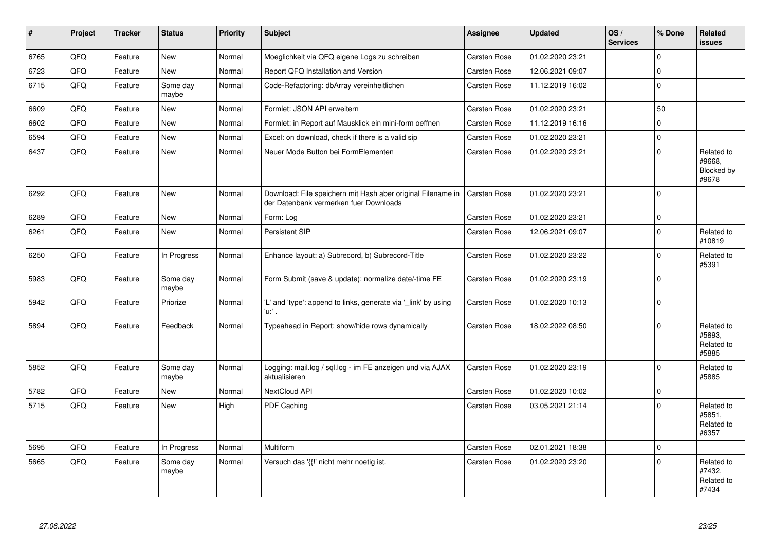| $\vert$ # | Project | <b>Tracker</b> | <b>Status</b>     | <b>Priority</b> | Subject                                                                                               | Assignee     | <b>Updated</b>   | OS/<br><b>Services</b> | % Done      | Related<br><b>issues</b>                    |
|-----------|---------|----------------|-------------------|-----------------|-------------------------------------------------------------------------------------------------------|--------------|------------------|------------------------|-------------|---------------------------------------------|
| 6765      | QFQ     | Feature        | <b>New</b>        | Normal          | Moeglichkeit via QFQ eigene Logs zu schreiben                                                         | Carsten Rose | 01.02.2020 23:21 |                        | $\Omega$    |                                             |
| 6723      | QFQ     | Feature        | <b>New</b>        | Normal          | Report QFQ Installation and Version                                                                   | Carsten Rose | 12.06.2021 09:07 |                        | $\mathbf 0$ |                                             |
| 6715      | QFQ     | Feature        | Some day<br>maybe | Normal          | Code-Refactoring: dbArray vereinheitlichen                                                            | Carsten Rose | 11.12.2019 16:02 |                        | $\Omega$    |                                             |
| 6609      | QFQ     | Feature        | <b>New</b>        | Normal          | Formlet: JSON API erweitern                                                                           | Carsten Rose | 01.02.2020 23:21 |                        | 50          |                                             |
| 6602      | QFQ     | Feature        | <b>New</b>        | Normal          | Formlet: in Report auf Mausklick ein mini-form oeffnen                                                | Carsten Rose | 11.12.2019 16:16 |                        | $\Omega$    |                                             |
| 6594      | QFQ     | Feature        | <b>New</b>        | Normal          | Excel: on download, check if there is a valid sip                                                     | Carsten Rose | 01.02.2020 23:21 |                        | 0           |                                             |
| 6437      | QFQ     | Feature        | <b>New</b>        | Normal          | Neuer Mode Button bei FormElementen                                                                   | Carsten Rose | 01.02.2020 23:21 |                        | $\Omega$    | Related to<br>#9668,<br>Blocked by<br>#9678 |
| 6292      | QFQ     | Feature        | <b>New</b>        | Normal          | Download: File speichern mit Hash aber original Filename in<br>der Datenbank vermerken fuer Downloads | Carsten Rose | 01.02.2020 23:21 |                        | $\Omega$    |                                             |
| 6289      | QFQ     | Feature        | <b>New</b>        | Normal          | Form: Log                                                                                             | Carsten Rose | 01.02.2020 23:21 |                        | $\mathbf 0$ |                                             |
| 6261      | QFQ     | Feature        | <b>New</b>        | Normal          | Persistent SIP                                                                                        | Carsten Rose | 12.06.2021 09:07 |                        | $\Omega$    | Related to<br>#10819                        |
| 6250      | QFQ     | Feature        | In Progress       | Normal          | Enhance layout: a) Subrecord, b) Subrecord-Title                                                      | Carsten Rose | 01.02.2020 23:22 |                        | $\Omega$    | Related to<br>#5391                         |
| 5983      | QFQ     | Feature        | Some day<br>maybe | Normal          | Form Submit (save & update): normalize date/-time FE                                                  | Carsten Rose | 01.02.2020 23:19 |                        | $\mathbf 0$ |                                             |
| 5942      | QFQ     | Feature        | Priorize          | Normal          | 'L' and 'type': append to links, generate via '_link' by using<br>'u:' .                              | Carsten Rose | 01.02.2020 10:13 |                        | $\Omega$    |                                             |
| 5894      | QFQ     | Feature        | Feedback          | Normal          | Typeahead in Report: show/hide rows dynamically                                                       | Carsten Rose | 18.02.2022 08:50 |                        | $\Omega$    | Related to<br>#5893,<br>Related to<br>#5885 |
| 5852      | QFQ     | Feature        | Some day<br>maybe | Normal          | Logging: mail.log / sql.log - im FE anzeigen und via AJAX<br>aktualisieren                            | Carsten Rose | 01.02.2020 23:19 |                        | $\mathbf 0$ | Related to<br>#5885                         |
| 5782      | QFQ     | Feature        | <b>New</b>        | Normal          | NextCloud API                                                                                         | Carsten Rose | 01.02.2020 10:02 |                        | $\Omega$    |                                             |
| 5715      | QFQ     | Feature        | <b>New</b>        | High            | PDF Caching                                                                                           | Carsten Rose | 03.05.2021 21:14 |                        | $\Omega$    | Related to<br>#5851,<br>Related to<br>#6357 |
| 5695      | QFQ     | Feature        | In Progress       | Normal          | Multiform                                                                                             | Carsten Rose | 02.01.2021 18:38 |                        | $\Omega$    |                                             |
| 5665      | QFQ     | Feature        | Some day<br>maybe | Normal          | Versuch das '{{!' nicht mehr noetig ist.                                                              | Carsten Rose | 01.02.2020 23:20 |                        | $\mathbf 0$ | Related to<br>#7432,<br>Related to<br>#7434 |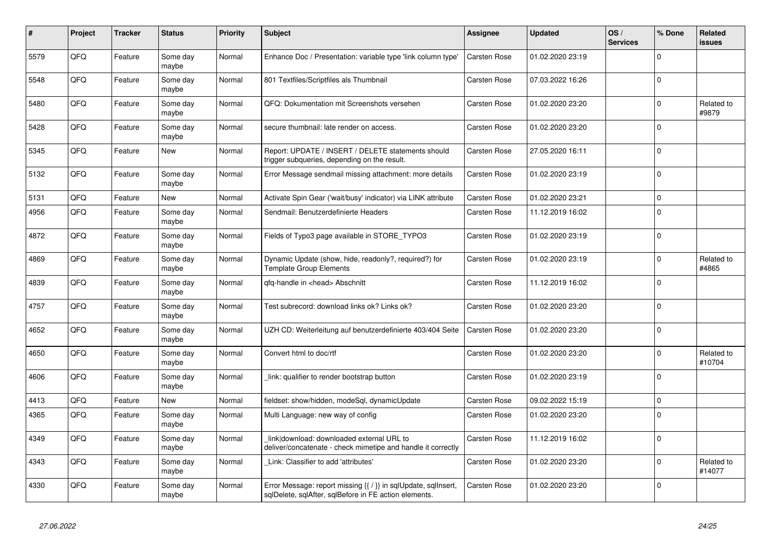| $\vert$ # | Project | <b>Tracker</b> | <b>Status</b>     | <b>Priority</b> | <b>Subject</b>                                                                                                                | Assignee            | <b>Updated</b>   | OS/<br><b>Services</b> | % Done      | Related<br>issues    |
|-----------|---------|----------------|-------------------|-----------------|-------------------------------------------------------------------------------------------------------------------------------|---------------------|------------------|------------------------|-------------|----------------------|
| 5579      | QFQ     | Feature        | Some day<br>maybe | Normal          | Enhance Doc / Presentation: variable type 'link column type'                                                                  | Carsten Rose        | 01.02.2020 23:19 |                        | $\Omega$    |                      |
| 5548      | QFQ     | Feature        | Some day<br>maybe | Normal          | 801 Textfiles/Scriptfiles als Thumbnail                                                                                       | Carsten Rose        | 07.03.2022 16:26 |                        | $\Omega$    |                      |
| 5480      | QFQ     | Feature        | Some day<br>maybe | Normal          | QFQ: Dokumentation mit Screenshots versehen                                                                                   | Carsten Rose        | 01.02.2020 23:20 |                        | $\Omega$    | Related to<br>#9879  |
| 5428      | QFQ     | Feature        | Some day<br>maybe | Normal          | secure thumbnail: late render on access.                                                                                      | Carsten Rose        | 01.02.2020 23:20 |                        | $\Omega$    |                      |
| 5345      | QFQ     | Feature        | <b>New</b>        | Normal          | Report: UPDATE / INSERT / DELETE statements should<br>trigger subqueries, depending on the result.                            | <b>Carsten Rose</b> | 27.05.2020 16:11 |                        | $\Omega$    |                      |
| 5132      | QFQ     | Feature        | Some day<br>maybe | Normal          | Error Message sendmail missing attachment: more details                                                                       | Carsten Rose        | 01.02.2020 23:19 |                        | $\mathbf 0$ |                      |
| 5131      | QFQ     | Feature        | New               | Normal          | Activate Spin Gear ('wait/busy' indicator) via LINK attribute                                                                 | Carsten Rose        | 01.02.2020 23:21 |                        | $\mathbf 0$ |                      |
| 4956      | QFQ     | Feature        | Some day<br>maybe | Normal          | Sendmail: Benutzerdefinierte Headers                                                                                          | Carsten Rose        | 11.12.2019 16:02 |                        | $\mathbf 0$ |                      |
| 4872      | QFQ     | Feature        | Some day<br>maybe | Normal          | Fields of Typo3 page available in STORE TYPO3                                                                                 | Carsten Rose        | 01.02.2020 23:19 |                        | $\Omega$    |                      |
| 4869      | QFQ     | Feature        | Some day<br>maybe | Normal          | Dynamic Update (show, hide, readonly?, required?) for<br><b>Template Group Elements</b>                                       | Carsten Rose        | 01.02.2020 23:19 |                        | $\Omega$    | Related to<br>#4865  |
| 4839      | QFQ     | Feature        | Some day<br>maybe | Normal          | qfq-handle in <head> Abschnitt</head>                                                                                         | Carsten Rose        | 11.12.2019 16:02 |                        | $\Omega$    |                      |
| 4757      | QFQ     | Feature        | Some day<br>maybe | Normal          | Test subrecord: download links ok? Links ok?                                                                                  | Carsten Rose        | 01.02.2020 23:20 |                        | $\Omega$    |                      |
| 4652      | QFQ     | Feature        | Some day<br>maybe | Normal          | UZH CD: Weiterleitung auf benutzerdefinierte 403/404 Seite                                                                    | Carsten Rose        | 01.02.2020 23:20 |                        | $\Omega$    |                      |
| 4650      | QFQ     | Feature        | Some day<br>maybe | Normal          | Convert html to doc/rtf                                                                                                       | Carsten Rose        | 01.02.2020 23:20 |                        | $\mathbf 0$ | Related to<br>#10704 |
| 4606      | QFQ     | Feature        | Some day<br>maybe | Normal          | link: qualifier to render bootstrap button                                                                                    | Carsten Rose        | 01.02.2020 23:19 |                        | $\Omega$    |                      |
| 4413      | QFQ     | Feature        | <b>New</b>        | Normal          | fieldset: show/hidden, modeSgl, dynamicUpdate                                                                                 | Carsten Rose        | 09.02.2022 15:19 |                        | $\Omega$    |                      |
| 4365      | QFQ     | Feature        | Some day<br>maybe | Normal          | Multi Language: new way of config                                                                                             | Carsten Rose        | 01.02.2020 23:20 |                        | $\Omega$    |                      |
| 4349      | QFQ     | Feature        | Some day<br>maybe | Normal          | link download: downloaded external URL to<br>deliver/concatenate - check mimetipe and handle it correctly                     | Carsten Rose        | 11.12.2019 16:02 |                        | $\Omega$    |                      |
| 4343      | QFQ     | Feature        | Some day<br>maybe | Normal          | Link: Classifier to add 'attributes'                                                                                          | Carsten Rose        | 01.02.2020 23:20 |                        | $\mathbf 0$ | Related to<br>#14077 |
| 4330      | QFQ     | Feature        | Some day<br>maybe | Normal          | Error Message: report missing $\{ \nmid \}$ in sqlUpdate, sqlInsert,<br>sqlDelete, sqlAfter, sqlBefore in FE action elements. | Carsten Rose        | 01.02.2020 23:20 |                        | $\Omega$    |                      |